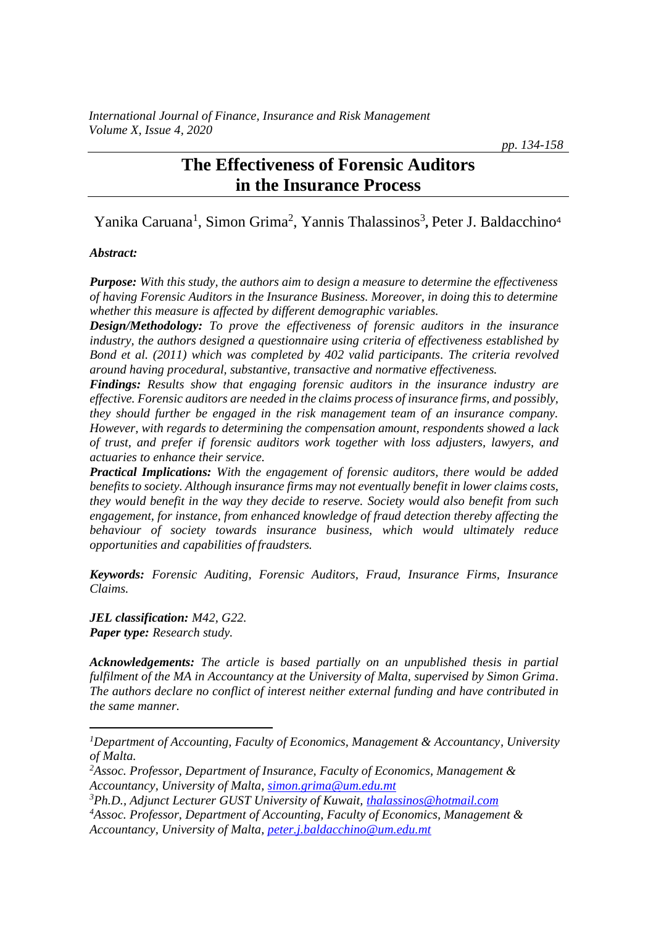*pp. 134-158*

# **The Effectiveness of Forensic Auditors in the Insurance Process**

Yanika Caruana<sup>1</sup>, Simon Grima<sup>2</sup>, Yannis Thalassinos<sup>3</sup>, Peter J. Baldacchino<sup>4</sup>

### *Abstract:*

*Purpose: With this study, the authors aim to design a measure to determine the effectiveness of having Forensic Auditors in the Insurance Business. Moreover, in doing this to determine whether this measure is affected by different demographic variables.*

*Design/Methodology: To prove the effectiveness of forensic auditors in the insurance industry, the authors designed a questionnaire using criteria of effectiveness established by Bond et al. (2011) which was completed by 402 valid participants. The criteria revolved around having procedural, substantive, transactive and normative effectiveness.* 

*Findings: Results show that engaging forensic auditors in the insurance industry are effective. Forensic auditors are needed in the claims process of insurance firms, and possibly, they should further be engaged in the risk management team of an insurance company. However, with regards to determining the compensation amount, respondents showed a lack of trust, and prefer if forensic auditors work together with loss adjusters, lawyers, and actuaries to enhance their service.*

*Practical Implications: With the engagement of forensic auditors, there would be added benefits to society. Although insurance firms may not eventually benefit in lower claims costs, they would benefit in the way they decide to reserve. Society would also benefit from such engagement, for instance, from enhanced knowledge of fraud detection thereby affecting the behaviour of society towards insurance business, which would ultimately reduce opportunities and capabilities of fraudsters.*

*Keywords: Forensic Auditing, Forensic Auditors, Fraud, Insurance Firms, Insurance Claims.*

*JEL classification: M42, G22. Paper type: Research study.*

*Acknowledgements: The article is based partially on an unpublished thesis in partial fulfilment of the MA in Accountancy at the University of Malta, supervised by Simon Grima. The authors declare no conflict of interest neither external funding and have contributed in the same manner.*

- *<sup>3</sup>Ph.D., Adjunct Lecturer GUST University of Kuwait, [thalassinos@hotmail.com](mailto:thalassinos@hotmail.com)*
- *<sup>4</sup>Assoc. Professor, Department of Accounting, Faculty of Economics, Management & Accountancy, University of Malta, [peter.j.baldacchino@um.edu.mt](mailto:peter.j.baldacchino@um.edu.mt)*

*<sup>1</sup>Department of Accounting, Faculty of Economics, Management & Accountancy, University of Malta.*

*<sup>2</sup>Assoc. Professor, Department of Insurance, Faculty of Economics, Management & Accountancy, University of Malta[, simon.grima@um.edu.mt](mailto:simon.grima@um.edu.mt)*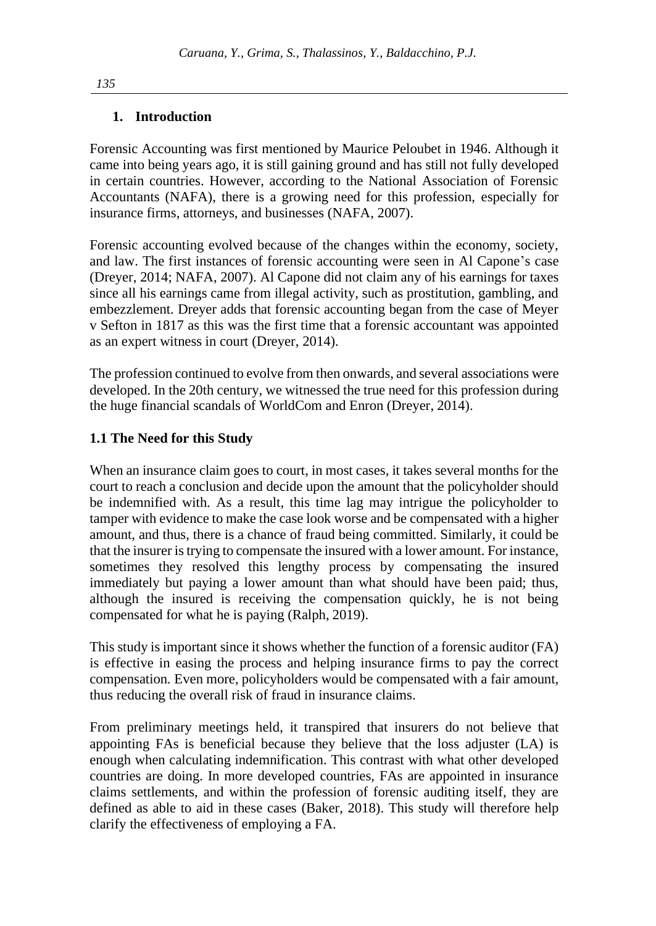### **1. Introduction**

Forensic Accounting was first mentioned by Maurice Peloubet in 1946. Although it came into being years ago, it is still gaining ground and has still not fully developed in certain countries. However, according to the National Association of Forensic Accountants (NAFA), there is a growing need for this profession, especially for insurance firms, attorneys, and businesses (NAFA, 2007).

Forensic accounting evolved because of the changes within the economy, society, and law. The first instances of forensic accounting were seen in Al Capone's case (Dreyer, 2014; NAFA, 2007). Al Capone did not claim any of his earnings for taxes since all his earnings came from illegal activity, such as prostitution, gambling, and embezzlement. Dreyer adds that forensic accounting began from the case of Meyer v Sefton in 1817 as this was the first time that a forensic accountant was appointed as an expert witness in court (Dreyer, 2014).

The profession continued to evolve from then onwards, and several associations were developed. In the 20th century, we witnessed the true need for this profession during the huge financial scandals of WorldCom and Enron (Dreyer, 2014).

### **1.1 The Need for this Study**

When an insurance claim goes to court, in most cases, it takes several months for the court to reach a conclusion and decide upon the amount that the policyholder should be indemnified with. As a result, this time lag may intrigue the policyholder to tamper with evidence to make the case look worse and be compensated with a higher amount, and thus, there is a chance of fraud being committed. Similarly, it could be that the insurer is trying to compensate the insured with a lower amount. For instance, sometimes they resolved this lengthy process by compensating the insured immediately but paying a lower amount than what should have been paid; thus, although the insured is receiving the compensation quickly, he is not being compensated for what he is paying (Ralph, 2019).

This study is important since it shows whether the function of a forensic auditor (FA) is effective in easing the process and helping insurance firms to pay the correct compensation*.* Even more, policyholders would be compensated with a fair amount, thus reducing the overall risk of fraud in insurance claims.

From preliminary meetings held, it transpired that insurers do not believe that appointing FAs is beneficial because they believe that the loss adjuster (LA) is enough when calculating indemnification. This contrast with what other developed countries are doing. In more developed countries, FAs are appointed in insurance claims settlements, and within the profession of forensic auditing itself, they are defined as able to aid in these cases (Baker, 2018). This study will therefore help clarify the effectiveness of employing a FA.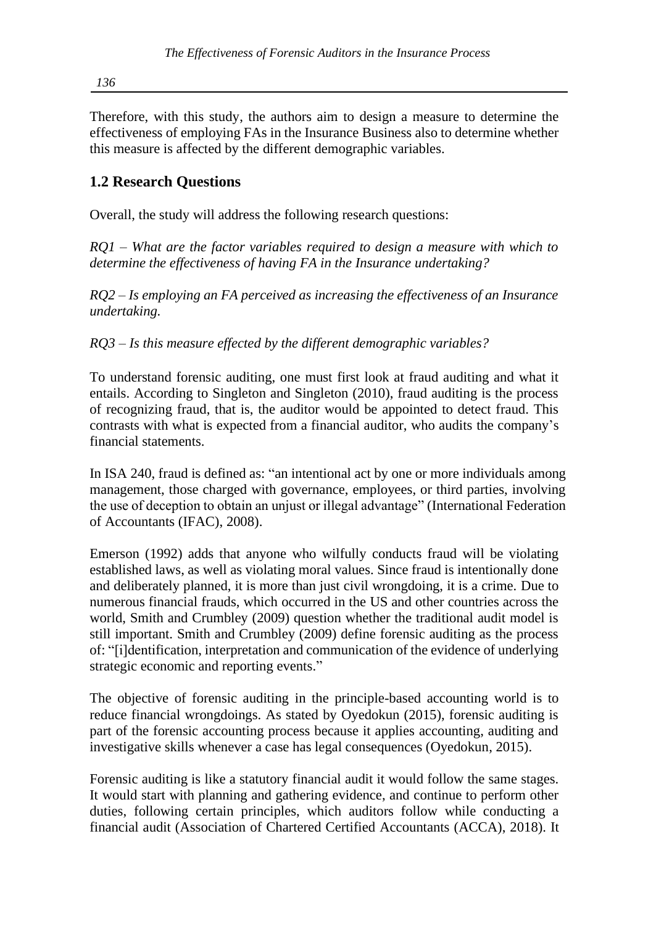Therefore, with this study, the authors aim to design a measure to determine the effectiveness of employing FAs in the Insurance Business also to determine whether this measure is affected by the different demographic variables.

# **1.2 Research Questions**

Overall, the study will address the following research questions:

*RQ1 – What are the factor variables required to design a measure with which to determine the effectiveness of having FA in the Insurance undertaking?*

*RQ2 – Is employing an FA perceived as increasing the effectiveness of an Insurance undertaking.*

*RQ3 – Is this measure effected by the different demographic variables?*

To understand forensic auditing, one must first look at fraud auditing and what it entails. According to Singleton and Singleton (2010), fraud auditing is the process of recognizing fraud, that is, the auditor would be appointed to detect fraud. This contrasts with what is expected from a financial auditor, who audits the company's financial statements.

In ISA 240, fraud is defined as: "an intentional act by one or more individuals among management, those charged with governance, employees, or third parties, involving the use of deception to obtain an unjust or illegal advantage" (International Federation of Accountants (IFAC), 2008).

Emerson (1992) adds that anyone who wilfully conducts fraud will be violating established laws, as well as violating moral values. Since fraud is intentionally done and deliberately planned, it is more than just civil wrongdoing, it is a crime. Due to numerous financial frauds, which occurred in the US and other countries across the world, Smith and Crumbley (2009) question whether the traditional audit model is still important. Smith and Crumbley (2009) define forensic auditing as the process of: "[i]dentification, interpretation and communication of the evidence of underlying strategic economic and reporting events."

The objective of forensic auditing in the principle-based accounting world is to reduce financial wrongdoings. As stated by Oyedokun (2015), forensic auditing is part of the forensic accounting process because it applies accounting, auditing and investigative skills whenever a case has legal consequences (Oyedokun, 2015).

Forensic auditing is like a statutory financial audit it would follow the same stages. It would start with planning and gathering evidence, and continue to perform other duties, following certain principles, which auditors follow while conducting a financial audit (Association of Chartered Certified Accountants (ACCA), 2018). It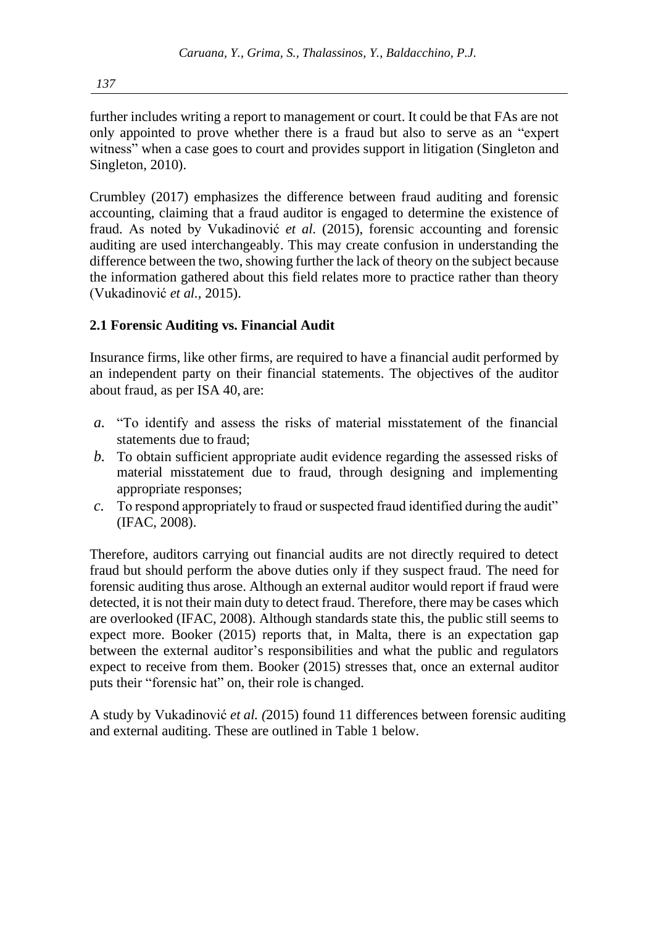further includes writing a report to management or court. It could be that FAs are not only appointed to prove whether there is a fraud but also to serve as an "expert witness" when a case goes to court and provides support in litigation (Singleton and Singleton, 2010).

Crumbley (2017) emphasizes the difference between fraud auditing and forensic accounting, claiming that a fraud auditor is engaged to determine the existence of fraud. As noted by Vukadinović *et al.* (2015), forensic accounting and forensic auditing are used interchangeably. This may create confusion in understanding the difference between the two, showing further the lack of theory on the subject because the information gathered about this field relates more to practice rather than theory (Vukadinović *et al.,* 2015).

## **2.1 Forensic Auditing vs. Financial Audit**

Insurance firms, like other firms, are required to have a financial audit performed by an independent party on their financial statements. The objectives of the auditor about fraud, as per ISA 40, are:

- *a.* "To identify and assess the risks of material misstatement of the financial statements due to fraud;
- *b.* To obtain sufficient appropriate audit evidence regarding the assessed risks of material misstatement due to fraud, through designing and implementing appropriate responses;
- *c.* To respond appropriately to fraud or suspected fraud identified during the audit" (IFAC, 2008).

Therefore, auditors carrying out financial audits are not directly required to detect fraud but should perform the above duties only if they suspect fraud. The need for forensic auditing thus arose. Although an external auditor would report if fraud were detected, it is not their main duty to detect fraud. Therefore, there may be cases which are overlooked (IFAC, 2008). Although standards state this, the public still seems to expect more. Booker (2015) reports that, in Malta, there is an expectation gap between the external auditor's responsibilities and what the public and regulators expect to receive from them. Booker (2015) stresses that, once an external auditor puts their "forensic hat" on, their role is changed.

A study by Vukadinović *et al. (*2015) found 11 differences between forensic auditing and external auditing. These are outlined in Table 1 below.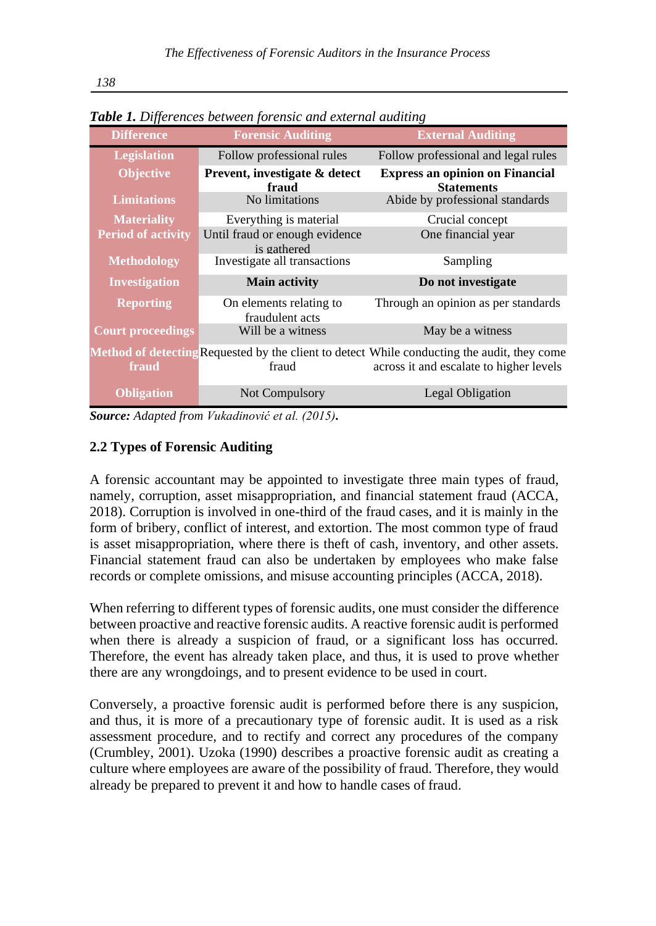| <b>Table 1.</b> Differences between forensic and external duditing |                                               |                                                                                                                                        |  |  |  |  |  |  |
|--------------------------------------------------------------------|-----------------------------------------------|----------------------------------------------------------------------------------------------------------------------------------------|--|--|--|--|--|--|
| <b>Difference</b>                                                  | <b>Forensic Auditing</b>                      | <b>External Auditing</b>                                                                                                               |  |  |  |  |  |  |
| <b>Legislation</b>                                                 | Follow professional rules                     | Follow professional and legal rules                                                                                                    |  |  |  |  |  |  |
| <b>Objective</b>                                                   | Prevent, investigate & detect<br>fraud        | <b>Express an opinion on Financial</b><br><b>Statements</b>                                                                            |  |  |  |  |  |  |
| <b>Limitations</b>                                                 | No limitations                                | Abide by professional standards                                                                                                        |  |  |  |  |  |  |
| <b>Materiality</b>                                                 | Everything is material                        | Crucial concept                                                                                                                        |  |  |  |  |  |  |
| <b>Period of activity</b>                                          | Until fraud or enough evidence<br>is gathered | One financial year                                                                                                                     |  |  |  |  |  |  |
| <b>Methodology</b>                                                 | Investigate all transactions                  | Sampling                                                                                                                               |  |  |  |  |  |  |
| Investigation                                                      | <b>Main activity</b>                          | Do not investigate                                                                                                                     |  |  |  |  |  |  |
| <b>Reporting</b>                                                   | On elements relating to<br>fraudulent acts    | Through an opinion as per standards                                                                                                    |  |  |  |  |  |  |
| <b>Court proceedings</b>                                           | Will be a witness                             | May be a witness                                                                                                                       |  |  |  |  |  |  |
| fraud                                                              | fraud                                         | Method of detecting Requested by the client to detect While conducting the audit, they come<br>across it and escalate to higher levels |  |  |  |  |  |  |
| <b>Obligation</b>                                                  | <b>Not Compulsory</b>                         | <b>Legal Obligation</b>                                                                                                                |  |  |  |  |  |  |

*Table 1. Differences between forensic and external auditing*

*Source: Adapted from Vukadinović et al. (2015).* 

## **2.2 Types of Forensic Auditing**

A forensic accountant may be appointed to investigate three main types of fraud, namely, corruption, asset misappropriation, and financial statement fraud (ACCA, 2018). Corruption is involved in one-third of the fraud cases, and it is mainly in the form of bribery, conflict of interest, and extortion. The most common type of fraud is asset misappropriation, where there is theft of cash, inventory, and other assets. Financial statement fraud can also be undertaken by employees who make false records or complete omissions, and misuse accounting principles (ACCA, 2018).

When referring to different types of forensic audits, one must consider the difference between proactive and reactive forensic audits. A reactive forensic audit is performed when there is already a suspicion of fraud, or a significant loss has occurred. Therefore, the event has already taken place, and thus, it is used to prove whether there are any wrongdoings, and to present evidence to be used in court.

Conversely, a proactive forensic audit is performed before there is any suspicion, and thus, it is more of a precautionary type of forensic audit. It is used as a risk assessment procedure, and to rectify and correct any procedures of the company (Crumbley, 2001). Uzoka (1990) describes a proactive forensic audit as creating a culture where employees are aware of the possibility of fraud. Therefore, they would already be prepared to prevent it and how to handle cases of fraud.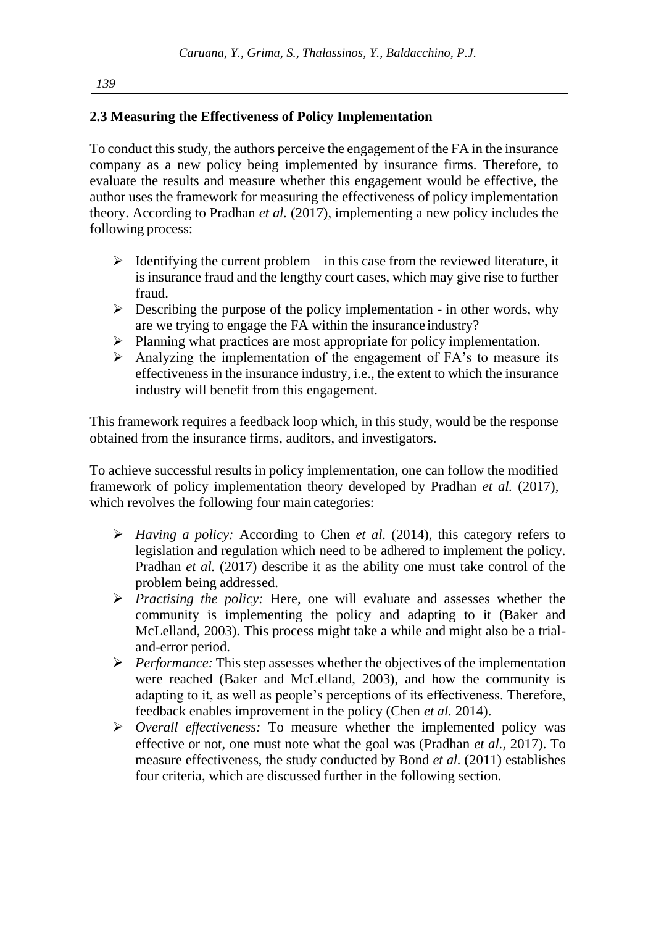## **2.3 Measuring the Effectiveness of Policy Implementation**

To conduct this study, the authors perceive the engagement of the FA in the insurance company as a new policy being implemented by insurance firms. Therefore, to evaluate the results and measure whether this engagement would be effective, the author uses the framework for measuring the effectiveness of policy implementation theory. According to Pradhan *et al.* (2017), implementing a new policy includes the following process:

- $\triangleright$  Identifying the current problem in this case from the reviewed literature, it is insurance fraud and the lengthy court cases, which may give rise to further fraud.
- $\triangleright$  Describing the purpose of the policy implementation in other words, why are we trying to engage the FA within the insurance industry?
- ➢ Planning what practices are most appropriate for policy implementation.
- ➢ Analyzing the implementation of the engagement of FA's to measure its effectiveness in the insurance industry, i.e., the extent to which the insurance industry will benefit from this engagement.

This framework requires a feedback loop which, in this study, would be the response obtained from the insurance firms, auditors, and investigators.

To achieve successful results in policy implementation, one can follow the modified framework of policy implementation theory developed by Pradhan *et al.* (2017), which revolves the following four main categories:

- ➢ *Having a policy:* According to Chen *et al.* (2014), this category refers to legislation and regulation which need to be adhered to implement the policy. Pradhan *et al.* (2017) describe it as the ability one must take control of the problem being addressed.
- ➢ *Practising the policy:* Here, one will evaluate and assesses whether the community is implementing the policy and adapting to it (Baker and McLelland, 2003). This process might take a while and might also be a trialand-error period.
- ➢ *Performance:* This step assesses whether the objectives of the implementation were reached (Baker and McLelland, 2003), and how the community is adapting to it, as well as people's perceptions of its effectiveness. Therefore, feedback enables improvement in the policy (Chen *et al.* 2014).
- ➢ *Overall effectiveness:* To measure whether the implemented policy was effective or not, one must note what the goal was (Pradhan *et al.,* 2017). To measure effectiveness, the study conducted by Bond *et al.* (2011) establishes four criteria, which are discussed further in the following section.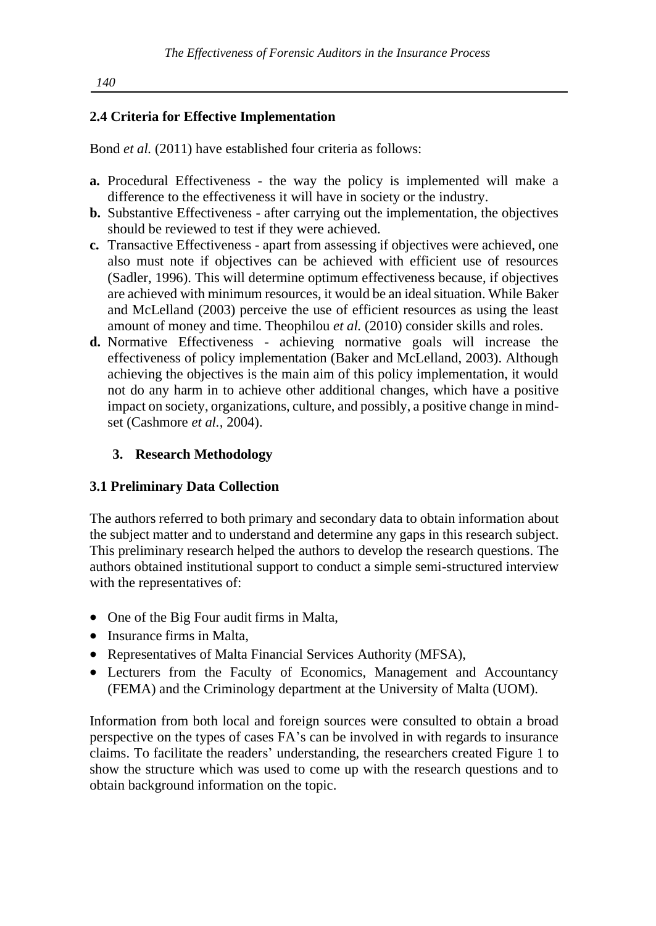## **2.4 Criteria for Effective Implementation**

Bond *et al.* (2011) have established four criteria as follows:

- **a.** Procedural Effectiveness the way the policy is implemented will make a difference to the effectiveness it will have in society or the industry.
- **b.** Substantive Effectiveness after carrying out the implementation, the objectives should be reviewed to test if they were achieved.
- **c.** Transactive Effectiveness apart from assessing if objectives were achieved, one also must note if objectives can be achieved with efficient use of resources (Sadler, 1996). This will determine optimum effectiveness because, if objectives are achieved with minimum resources, it would be an idealsituation. While Baker and McLelland (2003) perceive the use of efficient resources as using the least amount of money and time. Theophilou *et al.* (2010) consider skills and roles.
- **d.** Normative Effectiveness achieving normative goals will increase the effectiveness of policy implementation (Baker and McLelland, 2003). Although achieving the objectives is the main aim of this policy implementation, it would not do any harm in to achieve other additional changes, which have a positive impact on society, organizations, culture, and possibly, a positive change in mindset (Cashmore *et al.,* 2004).

## **3. Research Methodology**

## **3.1 Preliminary Data Collection**

The authors referred to both primary and secondary data to obtain information about the subject matter and to understand and determine any gaps in this research subject. This preliminary research helped the authors to develop the research questions. The authors obtained institutional support to conduct a simple semi-structured interview with the representatives of:

- One of the Big Four audit firms in Malta,
- Insurance firms in Malta,
- Representatives of Malta Financial Services Authority (MFSA),
- Lecturers from the Faculty of Economics, Management and Accountancy (FEMA) and the Criminology department at the University of Malta (UOM).

Information from both local and foreign sources were consulted to obtain a broad perspective on the types of cases FA's can be involved in with regards to insurance claims. To facilitate the readers' understanding, the researchers created Figure 1 to show the structure which was used to come up with the research questions and to obtain background information on the topic.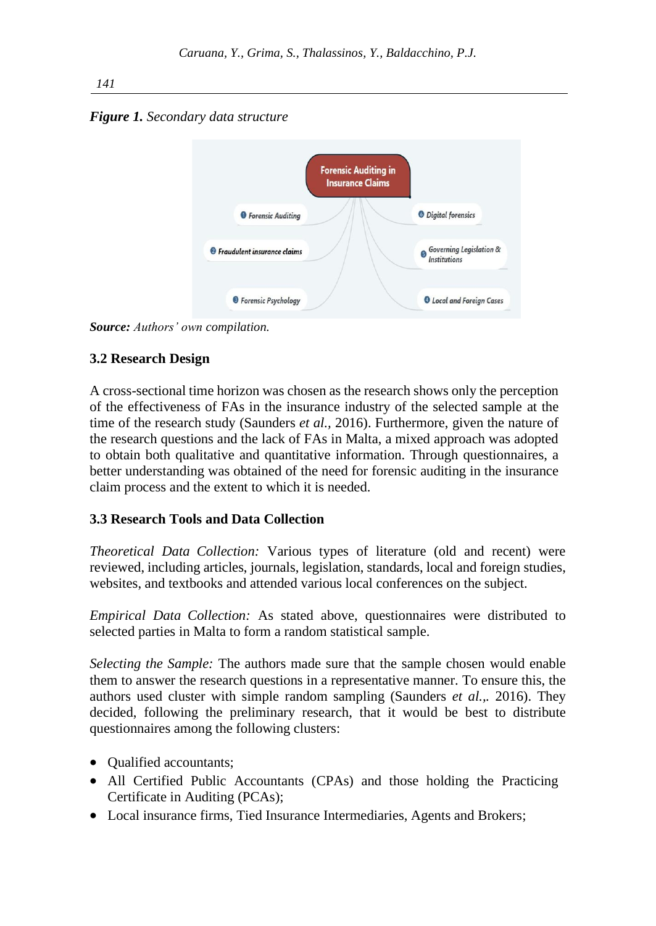*Figure 1. Secondary data structure*



*Source: Authors' own compilation.*

## **3.2 Research Design**

A cross-sectional time horizon was chosen as the research shows only the perception of the effectiveness of FAs in the insurance industry of the selected sample at the time of the research study (Saunders *et al.,* 2016). Furthermore, given the nature of the research questions and the lack of FAs in Malta, a mixed approach was adopted to obtain both qualitative and quantitative information. Through questionnaires, a better understanding was obtained of the need for forensic auditing in the insurance claim process and the extent to which it is needed.

## **3.3 Research Tools and Data Collection**

*Theoretical Data Collection:* Various types of literature (old and recent) were reviewed, including articles, journals, legislation, standards, local and foreign studies, websites, and textbooks and attended various local conferences on the subject.

*Empirical Data Collection:* As stated above, questionnaires were distributed to selected parties in Malta to form a random statistical sample.

*Selecting the Sample:* The authors made sure that the sample chosen would enable them to answer the research questions in a representative manner. To ensure this, the authors used cluster with simple random sampling (Saunders *et al.,.* 2016). They decided, following the preliminary research, that it would be best to distribute questionnaires among the following clusters:

- Oualified accountants;
- All Certified Public Accountants (CPAs) and those holding the Practicing Certificate in Auditing (PCAs);
- Local insurance firms, Tied Insurance Intermediaries, Agents and Brokers;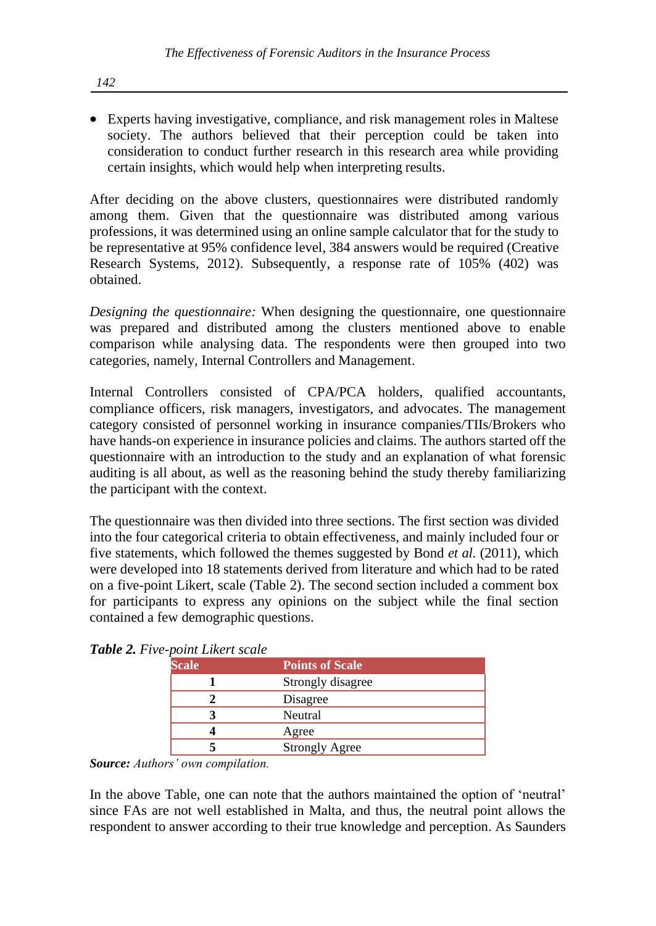• Experts having investigative, compliance, and risk management roles in Maltese society. The authors believed that their perception could be taken into consideration to conduct further research in this research area while providing certain insights, which would help when interpreting results.

After deciding on the above clusters, questionnaires were distributed randomly among them. Given that the questionnaire was distributed among various professions, it was determined using an online sample calculator that for the study to be representative at 95% confidence level, 384 answers would be required (Creative Research Systems, 2012). Subsequently, a response rate of 105% (402) was obtained.

*Designing the questionnaire:* When designing the questionnaire, one questionnaire was prepared and distributed among the clusters mentioned above to enable comparison while analysing data. The respondents were then grouped into two categories, namely, Internal Controllers and Management.

Internal Controllers consisted of CPA/PCA holders, qualified accountants, compliance officers, risk managers, investigators, and advocates. The management category consisted of personnel working in insurance companies/TIIs/Brokers who have hands-on experience in insurance policies and claims. The authors started off the questionnaire with an introduction to the study and an explanation of what forensic auditing is all about, as well as the reasoning behind the study thereby familiarizing the participant with the context.

The questionnaire was then divided into three sections. The first section was divided into the four categorical criteria to obtain effectiveness, and mainly included four or five statements, which followed the themes suggested by Bond *et al.* (2011), which were developed into 18 statements derived from literature and which had to be rated on a five-point Likert, scale (Table 2). The second section included a comment box for participants to express any opinions on the subject while the final section contained a few demographic questions.

| - <i>point Likert</i> scale |                        |
|-----------------------------|------------------------|
| <b>Scale</b>                | <b>Points of Scale</b> |
|                             | Strongly disagree      |
|                             | Disagree               |
|                             | Neutral                |
|                             | Agree                  |
|                             | <b>Strongly Agree</b>  |

*Table 2. Five-point Likert scale*

*Source: Authors' own compilation.*

In the above Table, one can note that the authors maintained the option of 'neutral' since FAs are not well established in Malta, and thus, the neutral point allows the respondent to answer according to their true knowledge and perception. As Saunders

*142*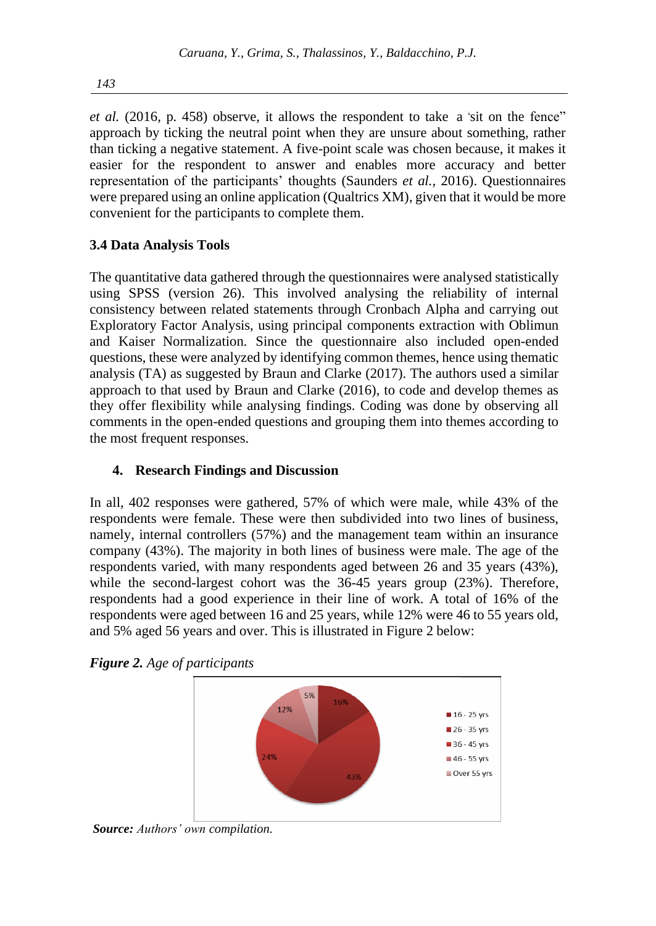*et al.* (2016, p. 458) observe, it allows the respondent to take a "sit on the fence" approach by ticking the neutral point when they are unsure about something, rather than ticking a negative statement. A five-point scale was chosen because, it makes it easier for the respondent to answer and enables more accuracy and better representation of the participants' thoughts (Saunders *et al.,* 2016). Questionnaires were prepared using an online application (Qualtrics XM), given that it would be more convenient for the participants to complete them.

## **3.4 Data Analysis Tools**

The quantitative data gathered through the questionnaires were analysed statistically using SPSS (version 26). This involved analysing the reliability of internal consistency between related statements through Cronbach Alpha and carrying out Exploratory Factor Analysis, using principal components extraction with Oblimun and Kaiser Normalization. Since the questionnaire also included open-ended questions, these were analyzed by identifying common themes, hence using thematic analysis (TA) as suggested by Braun and Clarke (2017). The authors used a similar approach to that used by Braun and Clarke (2016), to code and develop themes as they offer flexibility while analysing findings. Coding was done by observing all comments in the open-ended questions and grouping them into themes according to the most frequent responses.

## **4. Research Findings and Discussion**

In all, 402 responses were gathered, 57% of which were male, while 43% of the respondents were female. These were then subdivided into two lines of business, namely, internal controllers (57%) and the management team within an insurance company (43%). The majority in both lines of business were male. The age of the respondents varied, with many respondents aged between 26 and 35 years (43%), while the second-largest cohort was the 36-45 years group (23%). Therefore, respondents had a good experience in their line of work. A total of 16% of the respondents were aged between 16 and 25 years, while 12% were 46 to 55 years old, and 5% aged 56 years and over. This is illustrated in Figure 2 below:





*Source: Authors' own compilation.*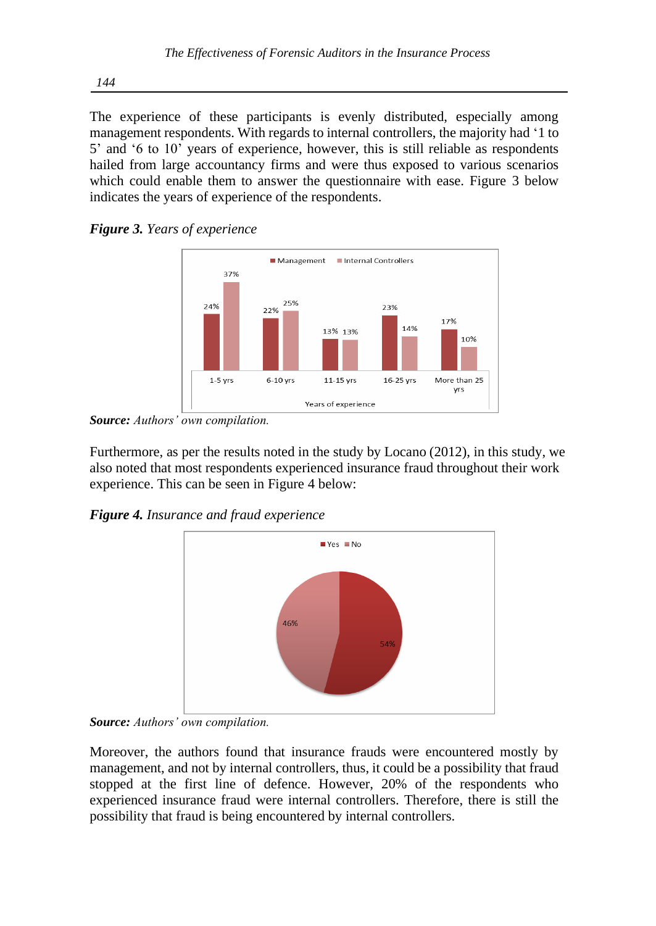The experience of these participants is evenly distributed, especially among management respondents. With regards to internal controllers, the majority had '1 to 5' and '6 to 10' years of experience, however, this is still reliable as respondents hailed from large accountancy firms and were thus exposed to various scenarios which could enable them to answer the questionnaire with ease. Figure 3 below indicates the years of experience of the respondents.





*Source: Authors' own compilation.*

Furthermore, as per the results noted in the study by Locano (2012), in this study, we also noted that most respondents experienced insurance fraud throughout their work experience. This can be seen in Figure 4 below:

*Figure 4. Insurance and fraud experience* 



*Source: Authors' own compilation.*

Moreover, the authors found that insurance frauds were encountered mostly by management, and not by internal controllers, thus, it could be a possibility that fraud stopped at the first line of defence. However, 20% of the respondents who experienced insurance fraud were internal controllers. Therefore, there is still the possibility that fraud is being encountered by internal controllers.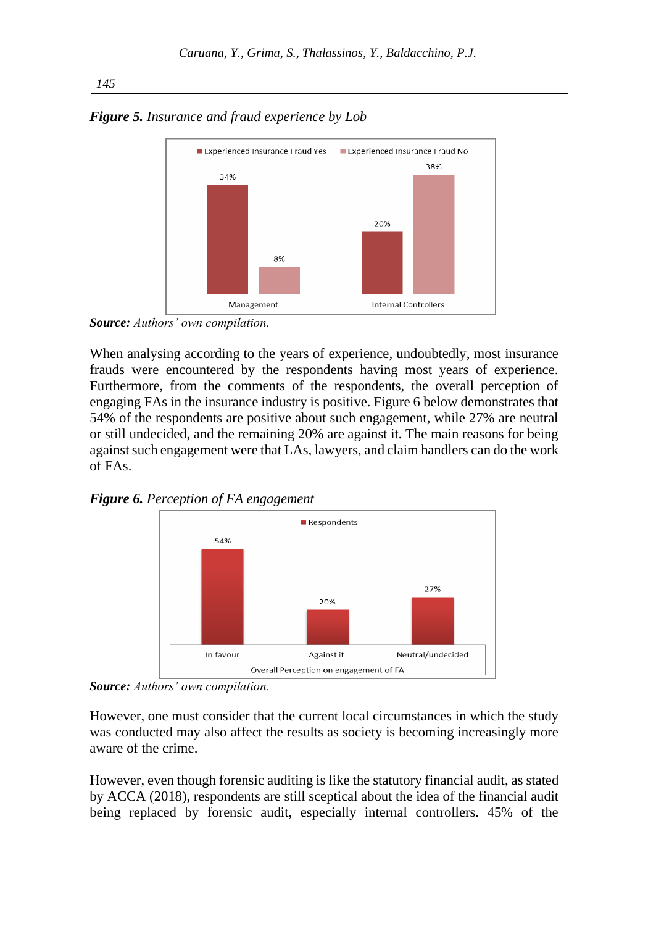

*Figure 5. Insurance and fraud experience by Lob*

*Source: Authors' own compilation.*

When analysing according to the years of experience, undoubtedly, most insurance frauds were encountered by the respondents having most years of experience. Furthermore, from the comments of the respondents, the overall perception of engaging FAs in the insurance industry is positive. Figure 6 below demonstrates that 54% of the respondents are positive about such engagement, while 27% are neutral or still undecided, and the remaining 20% are against it. The main reasons for being against such engagement were that LAs, lawyers, and claim handlers can do the work of FAs.





*Source: Authors' own compilation.*

However, one must consider that the current local circumstances in which the study was conducted may also affect the results as society is becoming increasingly more aware of the crime.

However, even though forensic auditing is like the statutory financial audit, as stated by ACCA (2018), respondents are still sceptical about the idea of the financial audit being replaced by forensic audit, especially internal controllers. 45% of the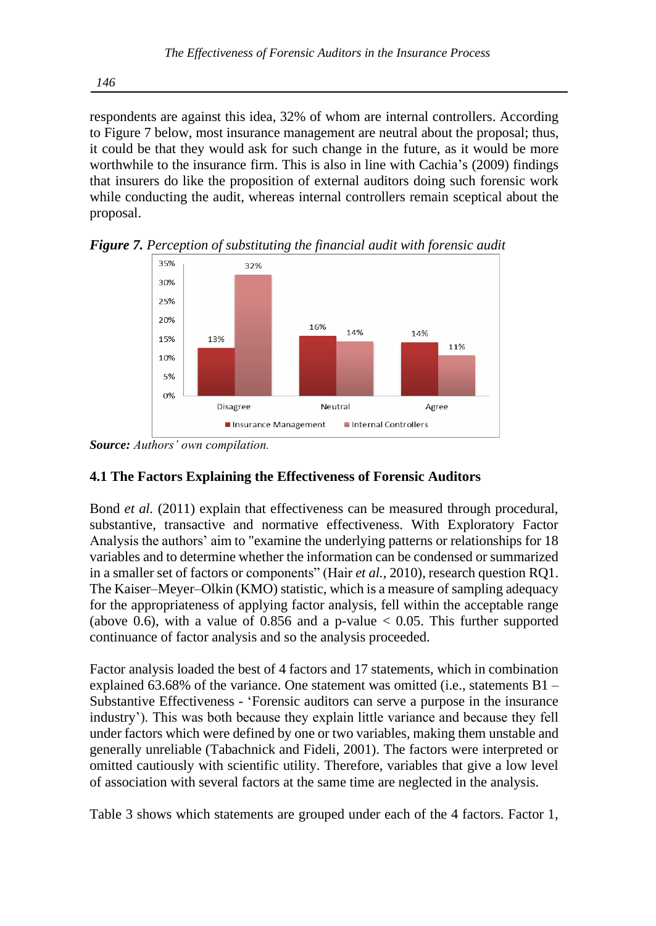respondents are against this idea, 32% of whom are internal controllers. According to Figure 7 below, most insurance management are neutral about the proposal; thus, it could be that they would ask for such change in the future, as it would be more worthwhile to the insurance firm. This is also in line with Cachia's (2009) findings that insurers do like the proposition of external auditors doing such forensic work while conducting the audit, whereas internal controllers remain sceptical about the proposal.



*Figure 7. Perception of substituting the financial audit with forensic audit*

## **4.1 The Factors Explaining the Effectiveness of Forensic Auditors**

Bond *et al.* (2011) explain that effectiveness can be measured through procedural, substantive, transactive and normative effectiveness. With Exploratory Factor Analysis the authors' aim to "examine the underlying patterns or relationships for 18 variables and to determine whether the information can be condensed or summarized in a smaller set of factors or components" (Hair *et al.,* 2010), research question RQ1. The Kaiser–Meyer–Olkin (KMO) statistic, which is a measure of sampling adequacy for the appropriateness of applying factor analysis, fell within the acceptable range (above 0.6), with a value of 0.856 and a p-value  $< 0.05$ . This further supported continuance of factor analysis and so the analysis proceeded.

Factor analysis loaded the best of 4 factors and 17 statements, which in combination explained 63.68% of the variance. One statement was omitted (i.e., statements  $B1 -$ Substantive Effectiveness - 'Forensic auditors can serve a purpose in the insurance industry'). This was both because they explain little variance and because they fell under factors which were defined by one or two variables, making them unstable and generally unreliable (Tabachnick and Fideli, 2001). The factors were interpreted or omitted cautiously with scientific utility. Therefore, variables that give a low level of association with several factors at the same time are neglected in the analysis.

Table 3 shows which statements are grouped under each of the 4 factors. Factor 1,

*Source: Authors' own compilation.*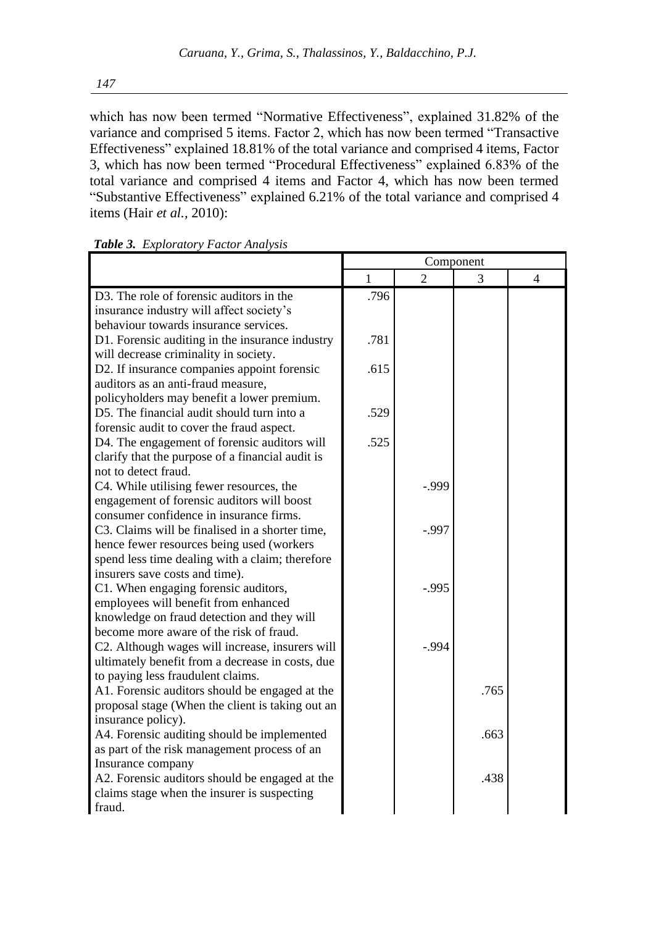which has now been termed "Normative Effectiveness", explained 31.82% of the variance and comprised 5 items. Factor 2, which has now been termed "Transactive Effectiveness" explained 18.81% of the total variance and comprised 4 items, Factor 3, which has now been termed "Procedural Effectiveness" explained 6.83% of the total variance and comprised 4 items and Factor 4, which has now been termed "Substantive Effectiveness" explained 6.21% of the total variance and comprised 4 items (Hair *et al.,* 2010):

|                                                  |      |          | Component |                |
|--------------------------------------------------|------|----------|-----------|----------------|
|                                                  | 1    |          | 3         | $\overline{4}$ |
| D3. The role of forensic auditors in the         | .796 |          |           |                |
| insurance industry will affect society's         |      |          |           |                |
| behaviour towards insurance services.            |      |          |           |                |
| D1. Forensic auditing in the insurance industry  | .781 |          |           |                |
| will decrease criminality in society.            |      |          |           |                |
| D2. If insurance companies appoint forensic      | .615 |          |           |                |
| auditors as an anti-fraud measure,               |      |          |           |                |
| policyholders may benefit a lower premium.       |      |          |           |                |
| D5. The financial audit should turn into a       | .529 |          |           |                |
| forensic audit to cover the fraud aspect.        |      |          |           |                |
| D4. The engagement of forensic auditors will     | .525 |          |           |                |
| clarify that the purpose of a financial audit is |      |          |           |                |
| not to detect fraud.                             |      |          |           |                |
| C4. While utilising fewer resources, the         |      | $-0.999$ |           |                |
| engagement of forensic auditors will boost       |      |          |           |                |
| consumer confidence in insurance firms.          |      |          |           |                |
| C3. Claims will be finalised in a shorter time,  |      | $-.997$  |           |                |
| hence fewer resources being used (workers        |      |          |           |                |
| spend less time dealing with a claim; therefore  |      |          |           |                |
| insurers save costs and time).                   |      |          |           |                |
| C1. When engaging forensic auditors,             |      | $-.995$  |           |                |
| employees will benefit from enhanced             |      |          |           |                |
| knowledge on fraud detection and they will       |      |          |           |                |
| become more aware of the risk of fraud.          |      |          |           |                |
| C2. Although wages will increase, insurers will  |      | $-.994$  |           |                |
| ultimately benefit from a decrease in costs, due |      |          |           |                |
| to paying less fraudulent claims.                |      |          |           |                |
| A1. Forensic auditors should be engaged at the   |      |          | .765      |                |
| proposal stage (When the client is taking out an |      |          |           |                |
| insurance policy).                               |      |          |           |                |
| A4. Forensic auditing should be implemented      |      |          | .663      |                |
| as part of the risk management process of an     |      |          |           |                |
| Insurance company                                |      |          |           |                |
| A2. Forensic auditors should be engaged at the   |      |          | .438      |                |
| claims stage when the insurer is suspecting      |      |          |           |                |
| fraud.                                           |      |          |           |                |

|  | Table 3. Exploratory Factor Analysis |  |  |
|--|--------------------------------------|--|--|
|--|--------------------------------------|--|--|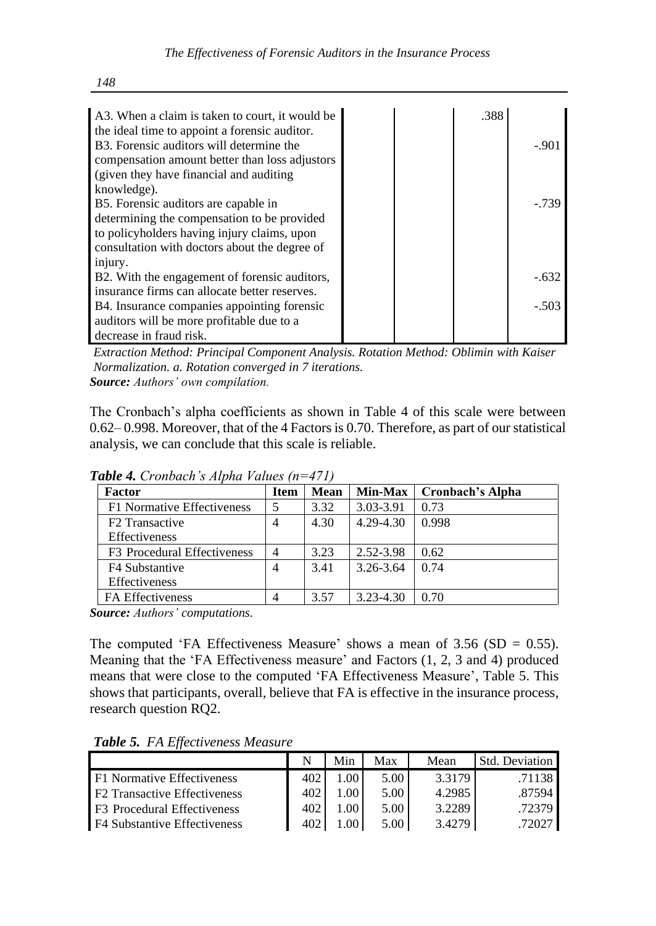| A3. When a claim is taken to court, it would be       |  | .388 |          |
|-------------------------------------------------------|--|------|----------|
| the ideal time to appoint a forensic auditor.         |  |      |          |
| B <sub>3</sub> . Forensic auditors will determine the |  |      | $-.901$  |
| compensation amount better than loss adjustors        |  |      |          |
| (given they have financial and auditing)              |  |      |          |
| knowledge).                                           |  |      |          |
| B5. Forensic auditors are capable in                  |  |      | $-0.739$ |
| determining the compensation to be provided           |  |      |          |
| to policyholders having injury claims, upon           |  |      |          |
| consultation with doctors about the degree of         |  |      |          |
| injury.                                               |  |      |          |
| B2. With the engagement of forensic auditors,         |  |      | $-632$   |
| insurance firms can allocate better reserves.         |  |      |          |
| B4. Insurance companies appointing forensic           |  |      | $-.503$  |
| auditors will be more profitable due to a             |  |      |          |
| decrease in fraud risk.                               |  |      |          |

*Extraction Method: Principal Component Analysis. Rotation Method: Oblimin with Kaiser Normalization. a. Rotation converged in 7 iterations. Source: Authors' own compilation.*

The Cronbach's alpha coefficients as shown in Table 4 of this scale were between 0.62– 0.998. Moreover, that of the 4 Factors is 0.70. Therefore, as part of our statistical analysis, we can conclude that this scale is reliable.

| Factor                                  | <b>Item</b> | <b>Mean</b> | <b>Min-Max</b> | <b>Cronbach's Alpha</b> |
|-----------------------------------------|-------------|-------------|----------------|-------------------------|
| F1 Normative Effectiveness              |             | 3.32        | 3.03-3.91      | 0.73                    |
| F <sub>2</sub> Transactive              | 4           | 4.30        | 4.29-4.30      | 0.998                   |
| <b>Effectiveness</b>                    |             |             |                |                         |
| F <sub>3</sub> Procedural Effectiveness |             | 3.23        | 2.52-3.98      | 0.62                    |
| F4 Substantive                          | 4           | 3.41        | 3.26-3.64      | 0.74                    |
| <b>Effectiveness</b>                    |             |             |                |                         |
| FA Effectiveness                        |             | 3.57        | 3.23-4.30      | 0.70                    |

*Table 4. Cronbach's Alpha Values (n=471)*

*Source: Authors' computations.*

The computed 'FA Effectiveness Measure' shows a mean of  $3.56$  (SD = 0.55). Meaning that the 'FA Effectiveness measure' and Factors (1, 2, 3 and 4) produced means that were close to the computed 'FA Effectiveness Measure', Table 5. This shows that participants, overall, believe that FA is effective in the insurance process, research question RQ2.

| $\bf{1}$ word of $\bf{1}$ is $\bf{1}$ in $\bf{1}$ is $\bf{1}$ in $\bf{1}$ is $\bf{1}$ is $\bf{1}$ is $\bf{1}$ is $\bf{1}$ is $\bf{1}$ is $\bf{1}$ is $\bf{1}$ is $\bf{1}$ is $\bf{1}$ is $\bf{1}$ is $\bf{1}$ is $\bf{1}$ is $\bf{1}$ is $\bf{1}$ |     |       |                   |        |                |  |  |  |  |
|---------------------------------------------------------------------------------------------------------------------------------------------------------------------------------------------------------------------------------------------------|-----|-------|-------------------|--------|----------------|--|--|--|--|
|                                                                                                                                                                                                                                                   |     | Min   | Max               | Mean   | Std. Deviation |  |  |  |  |
| F1 Normative Effectiveness                                                                                                                                                                                                                        | 402 | 00.1  | 5.00 <sub>1</sub> | 3.3179 | .71138         |  |  |  |  |
| <b>F2</b> Transactive Effectiveness                                                                                                                                                                                                               | 402 | 1.00. | 5.00              | 4.2985 | .87594         |  |  |  |  |
| F <sub>3</sub> Procedural Effectiveness                                                                                                                                                                                                           | 402 | 1.00. | 5.00              | 3.2289 | .72379         |  |  |  |  |
| F4 Substantive Effectiveness                                                                                                                                                                                                                      | 402 | .00.  | 5.00              | 3.4279 | .72027         |  |  |  |  |

*Table 5. FA Effectiveness Measure*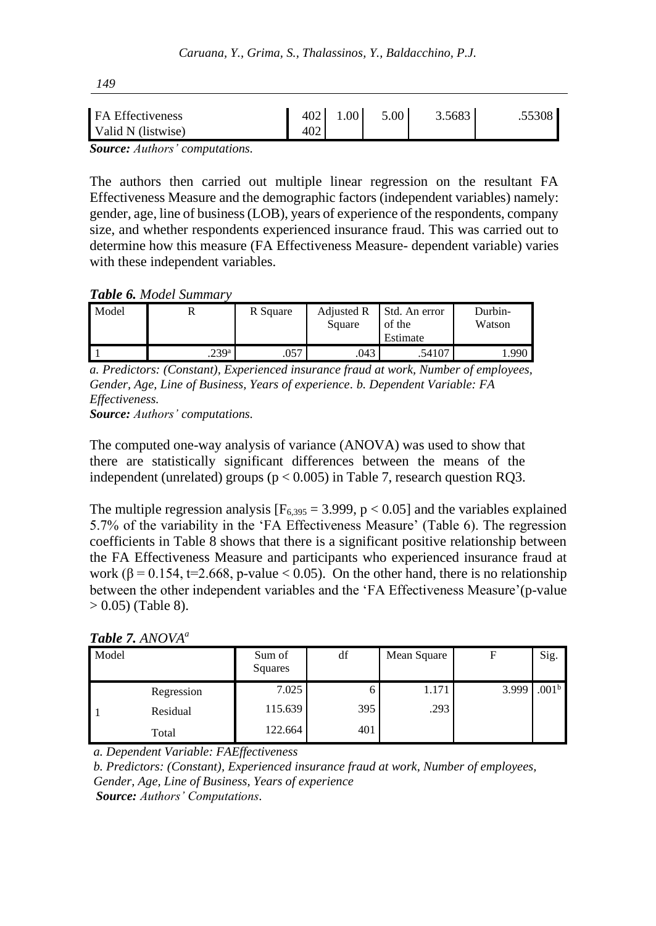| FA Effectiveness                                                                                                                                                                                                                                                                                 | 402 1.00 | 5.00 | 3.5683 | .55308 |
|--------------------------------------------------------------------------------------------------------------------------------------------------------------------------------------------------------------------------------------------------------------------------------------------------|----------|------|--------|--------|
| Valid N (listwise)                                                                                                                                                                                                                                                                               |          |      |        |        |
| $\mathbf{C}$ and $\mathbf{A}$ and $\mathbf{A}$ and $\mathbf{A}$ and $\mathbf{A}$ and $\mathbf{A}$ and $\mathbf{A}$ and $\mathbf{A}$ and $\mathbf{A}$ and $\mathbf{A}$ and $\mathbf{A}$ and $\mathbf{A}$ and $\mathbf{A}$ and $\mathbf{A}$ and $\mathbf{A}$ and $\mathbf{A}$ and $\mathbf{A}$ and |          |      |        |        |

*Source: Authors' computations.*

The authors then carried out multiple linear regression on the resultant FA Effectiveness Measure and the demographic factors (independent variables) namely: gender, age, line of business (LOB), years of experience of the respondents, company size, and whether respondents experienced insurance fraud. This was carried out to determine how this measure (FA Effectiveness Measure- dependent variable) varies with these independent variables.

### *Table 6. Model Summary*

| Model |                   | R Square | Adjusted R<br>Square | Std. An error<br>of the<br>Estimate | Durbin-<br>Watson |
|-------|-------------------|----------|----------------------|-------------------------------------|-------------------|
|       | .239 <sup>a</sup> | .057     | .043                 | .54107                              | 1.990             |

*a. Predictors: (Constant), Experienced insurance fraud at work, Number of employees, Gender, Age, Line of Business, Years of experience. b. Dependent Variable: FA Effectiveness.* 

*Source: Authors' computations.*

The computed one-way analysis of variance (ANOVA) was used to show that there are statistically significant differences between the means of the independent (unrelated) groups ( $p < 0.005$ ) in Table 7, research question RQ3.

The multiple regression analysis  $[F_{6,395} = 3.999, p < 0.05]$  and the variables explained 5.7% of the variability in the 'FA Effectiveness Measure' (Table 6). The regression coefficients in Table 8 shows that there is a significant positive relationship between the FA Effectiveness Measure and participants who experienced insurance fraud at work ( $\beta$  = 0.154, t=2.668, p-value < 0.05). On the other hand, there is no relationship between the other independent variables and the 'FA Effectiveness Measure'(p-value  $> 0.05$ ) (Table 8).

|  |  |  | Table 7. ANOVA <sup>a</sup> |
|--|--|--|-----------------------------|
|--|--|--|-----------------------------|

| Model |            | Sum of<br>Squares | df  | Mean Square | F     | Sig.              |
|-------|------------|-------------------|-----|-------------|-------|-------------------|
|       | Regression | 7.025             | 6   | 1.171       | 3.999 | .001 <sup>b</sup> |
|       | Residual   | 115.639           | 395 | .293        |       |                   |
|       | Total      | 122.664           | 401 |             |       |                   |

*a. Dependent Variable: FAEffectiveness*

*b. Predictors: (Constant), Experienced insurance fraud at work, Number of employees, Gender, Age, Line of Business, Years of experience Source: Authors' Computations.*

*149*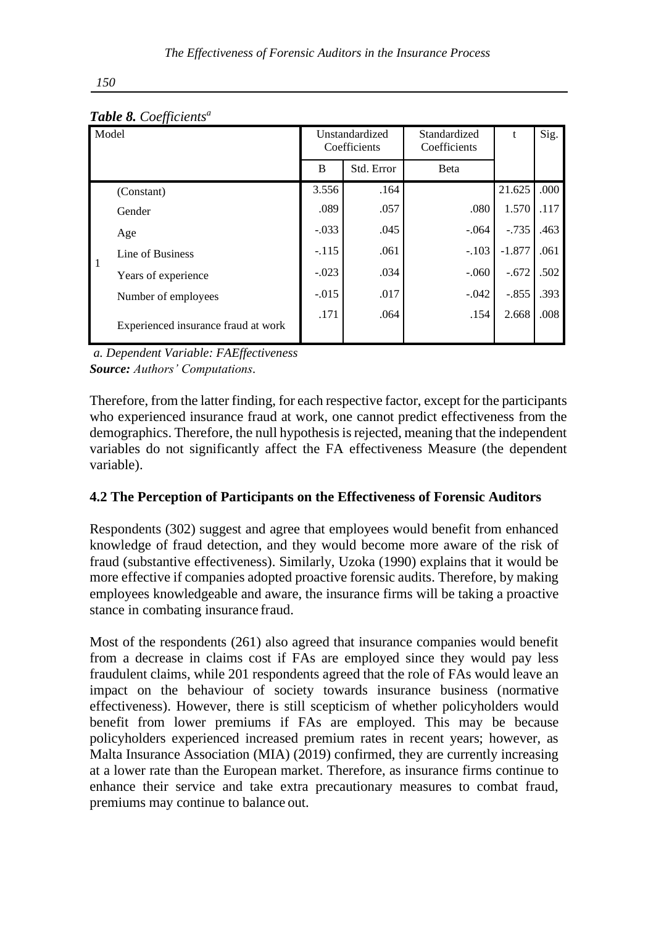|                | Model                               |         | Unstandardized<br>Coefficients | Standardized<br>Coefficients | t        | Sig. |
|----------------|-------------------------------------|---------|--------------------------------|------------------------------|----------|------|
|                |                                     | B       | Std. Error                     | Beta                         |          |      |
|                | (Constant)                          | 3.556   | .164                           |                              | 21.625   | .000 |
|                | Gender                              | .089    | .057                           | .080                         | 1.570    | .117 |
|                | Age                                 | $-.033$ | .045                           | $-.064$                      | $-.735$  | .463 |
| $\overline{1}$ | Line of Business                    | $-.115$ | .061                           | $-.103$                      | $-1.877$ | .061 |
|                | Years of experience                 | $-.023$ | .034                           | $-.060$                      | $-.672$  | .502 |
|                | Number of employees                 | $-.015$ | .017                           | $-.042$                      | $-.855$  | .393 |
|                | Experienced insurance fraud at work | .171    | .064                           | .154                         | 2.668    | .008 |

*Table 8. Coefficients<sup>a</sup>*

*a. Dependent Variable: FAEffectiveness Source: Authors' Computations.*

Therefore, from the latter finding, for each respective factor, except for the participants who experienced insurance fraud at work, one cannot predict effectiveness from the demographics. Therefore, the null hypothesis is rejected, meaning that the independent variables do not significantly affect the FA effectiveness Measure (the dependent variable).

## **4.2 The Perception of Participants on the Effectiveness of Forensic Auditors**

Respondents (302) suggest and agree that employees would benefit from enhanced knowledge of fraud detection, and they would become more aware of the risk of fraud (substantive effectiveness). Similarly, Uzoka (1990) explains that it would be more effective if companies adopted proactive forensic audits. Therefore, by making employees knowledgeable and aware, the insurance firms will be taking a proactive stance in combating insurance fraud.

Most of the respondents (261) also agreed that insurance companies would benefit from a decrease in claims cost if FAs are employed since they would pay less fraudulent claims, while 201 respondents agreed that the role of FAs would leave an impact on the behaviour of society towards insurance business (normative effectiveness). However, there is still scepticism of whether policyholders would benefit from lower premiums if FAs are employed. This may be because policyholders experienced increased premium rates in recent years; however, as Malta Insurance Association (MIA) (2019) confirmed, they are currently increasing at a lower rate than the European market. Therefore, as insurance firms continue to enhance their service and take extra precautionary measures to combat fraud, premiums may continue to balance out.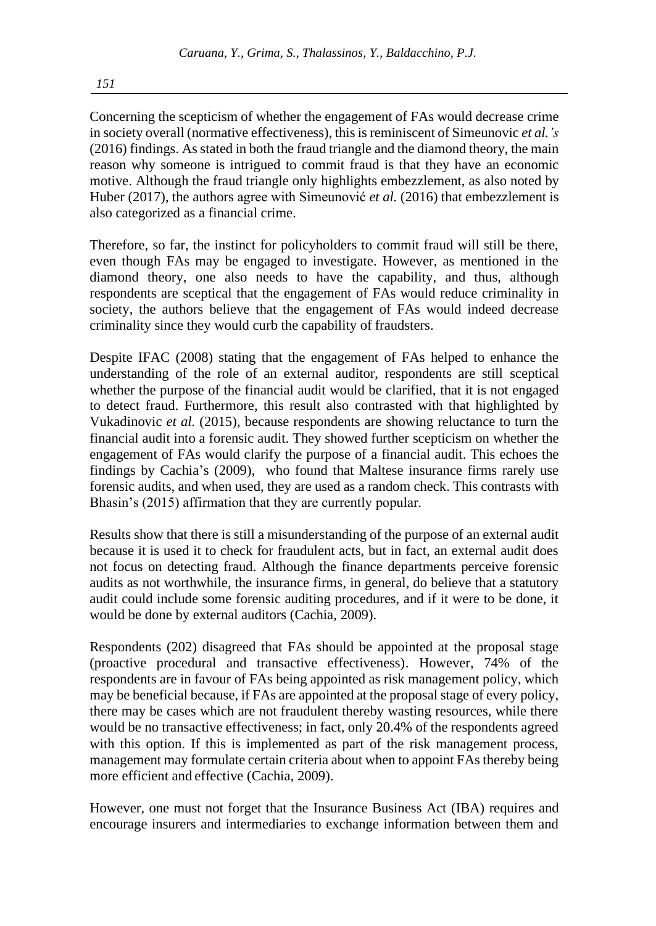Concerning the scepticism of whether the engagement of FAs would decrease crime in society overall (normative effectiveness), this is reminiscent of Simeunovic *et al.'s* (2016) findings. As stated in both the fraud triangle and the diamond theory, the main reason why someone is intrigued to commit fraud is that they have an economic motive. Although the fraud triangle only highlights embezzlement, as also noted by Huber (2017), the authors agree with Simeunović *et al.* (2016) that embezzlement is also categorized as a financial crime.

Therefore, so far, the instinct for policyholders to commit fraud will still be there, even though FAs may be engaged to investigate. However, as mentioned in the diamond theory, one also needs to have the capability, and thus, although respondents are sceptical that the engagement of FAs would reduce criminality in society, the authors believe that the engagement of FAs would indeed decrease criminality since they would curb the capability of fraudsters.

Despite IFAC (2008) stating that the engagement of FAs helped to enhance the understanding of the role of an external auditor, respondents are still sceptical whether the purpose of the financial audit would be clarified, that it is not engaged to detect fraud. Furthermore, this result also contrasted with that highlighted by Vukadinovic *et al.* (2015), because respondents are showing reluctance to turn the financial audit into a forensic audit. They showed further scepticism on whether the engagement of FAs would clarify the purpose of a financial audit. This echoes the findings by Cachia's (2009), who found that Maltese insurance firms rarely use forensic audits, and when used, they are used as a random check. This contrasts with Bhasin's (2015) affirmation that they are currently popular.

Results show that there is still a misunderstanding of the purpose of an external audit because it is used it to check for fraudulent acts, but in fact, an external audit does not focus on detecting fraud. Although the finance departments perceive forensic audits as not worthwhile, the insurance firms, in general, do believe that a statutory audit could include some forensic auditing procedures, and if it were to be done, it would be done by external auditors (Cachia, 2009).

Respondents (202) disagreed that FAs should be appointed at the proposal stage (proactive procedural and transactive effectiveness). However, 74% of the respondents are in favour of FAs being appointed as risk management policy, which may be beneficial because, if FAs are appointed at the proposal stage of every policy, there may be cases which are not fraudulent thereby wasting resources, while there would be no transactive effectiveness; in fact, only 20.4% of the respondents agreed with this option. If this is implemented as part of the risk management process, management may formulate certain criteria about when to appoint FAs thereby being more efficient and effective (Cachia, 2009).

However, one must not forget that the Insurance Business Act (IBA) requires and encourage insurers and intermediaries to exchange information between them and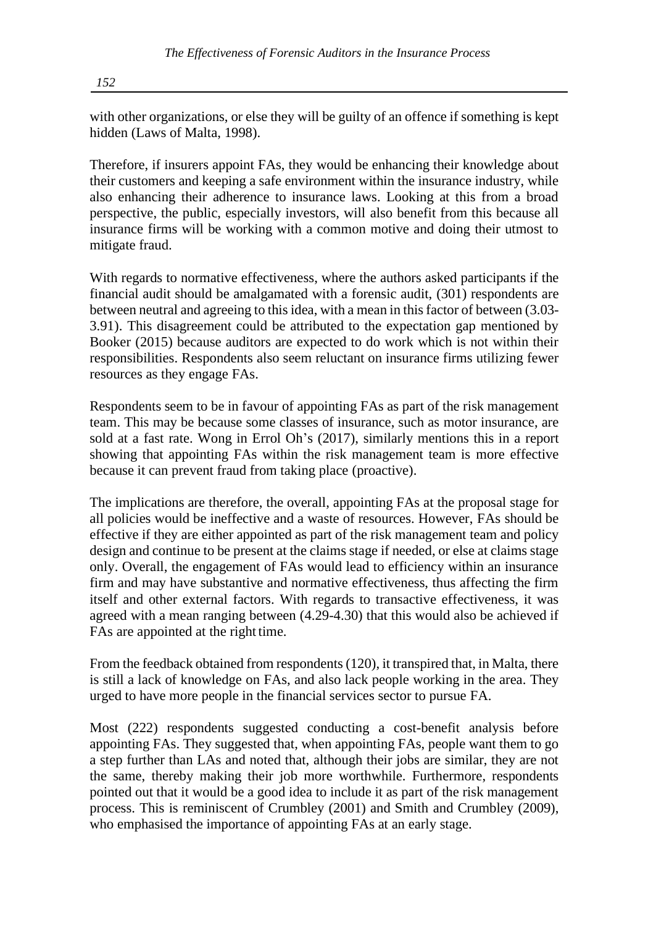with other organizations, or else they will be guilty of an offence if something is kept hidden (Laws of Malta, 1998).

Therefore, if insurers appoint FAs, they would be enhancing their knowledge about their customers and keeping a safe environment within the insurance industry, while also enhancing their adherence to insurance laws. Looking at this from a broad perspective, the public, especially investors, will also benefit from this because all insurance firms will be working with a common motive and doing their utmost to mitigate fraud.

With regards to normative effectiveness, where the authors asked participants if the financial audit should be amalgamated with a forensic audit, (301) respondents are between neutral and agreeing to this idea, with a mean in this factor of between (3.03-3.91). This disagreement could be attributed to the expectation gap mentioned by Booker (2015) because auditors are expected to do work which is not within their responsibilities. Respondents also seem reluctant on insurance firms utilizing fewer resources as they engage FAs.

Respondents seem to be in favour of appointing FAs as part of the risk management team. This may be because some classes of insurance, such as motor insurance, are sold at a fast rate. Wong in Errol Oh's (2017), similarly mentions this in a report showing that appointing FAs within the risk management team is more effective because it can prevent fraud from taking place (proactive).

The implications are therefore, the overall, appointing FAs at the proposal stage for all policies would be ineffective and a waste of resources. However, FAs should be effective if they are either appointed as part of the risk management team and policy design and continue to be present at the claims stage if needed, or else at claims stage only. Overall, the engagement of FAs would lead to efficiency within an insurance firm and may have substantive and normative effectiveness, thus affecting the firm itself and other external factors. With regards to transactive effectiveness, it was agreed with a mean ranging between (4.29-4.30) that this would also be achieved if FAs are appointed at the right time.

From the feedback obtained from respondents (120), it transpired that, in Malta, there is still a lack of knowledge on FAs, and also lack people working in the area. They urged to have more people in the financial services sector to pursue FA.

Most (222) respondents suggested conducting a cost-benefit analysis before appointing FAs. They suggested that, when appointing FAs, people want them to go a step further than LAs and noted that, although their jobs are similar, they are not the same, thereby making their job more worthwhile. Furthermore, respondents pointed out that it would be a good idea to include it as part of the risk management process. This is reminiscent of Crumbley (2001) and Smith and Crumbley (2009), who emphasised the importance of appointing FAs at an early stage.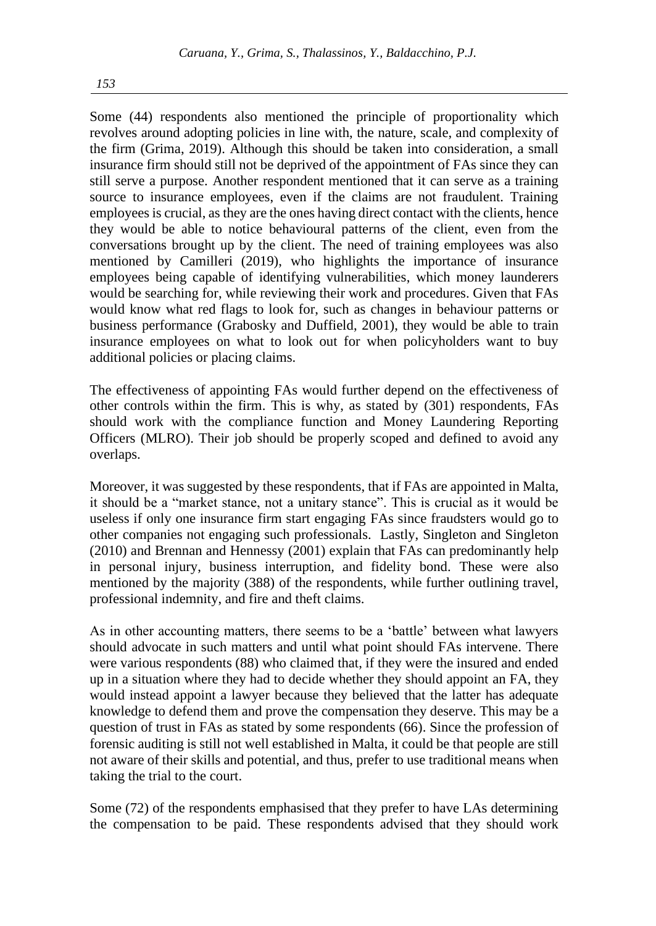Some (44) respondents also mentioned the principle of proportionality which revolves around adopting policies in line with, the nature, scale, and complexity of the firm (Grima, 2019). Although this should be taken into consideration, a small insurance firm should still not be deprived of the appointment of FAs since they can still serve a purpose. Another respondent mentioned that it can serve as a training source to insurance employees, even if the claims are not fraudulent. Training employees is crucial, as they are the ones having direct contact with the clients, hence they would be able to notice behavioural patterns of the client, even from the conversations brought up by the client. The need of training employees was also mentioned by Camilleri (2019), who highlights the importance of insurance employees being capable of identifying vulnerabilities, which money launderers would be searching for, while reviewing their work and procedures. Given that FAs would know what red flags to look for, such as changes in behaviour patterns or business performance (Grabosky and Duffield, 2001), they would be able to train insurance employees on what to look out for when policyholders want to buy additional policies or placing claims.

The effectiveness of appointing FAs would further depend on the effectiveness of other controls within the firm. This is why, as stated by (301) respondents, FAs should work with the compliance function and Money Laundering Reporting Officers (MLRO). Their job should be properly scoped and defined to avoid any overlaps.

Moreover, it was suggested by these respondents, that if FAs are appointed in Malta, it should be a "market stance, not a unitary stance". This is crucial as it would be useless if only one insurance firm start engaging FAs since fraudsters would go to other companies not engaging such professionals. Lastly, Singleton and Singleton (2010) and Brennan and Hennessy (2001) explain that FAs can predominantly help in personal injury, business interruption, and fidelity bond. These were also mentioned by the majority (388) of the respondents, while further outlining travel, professional indemnity, and fire and theft claims.

As in other accounting matters, there seems to be a 'battle' between what lawyers should advocate in such matters and until what point should FAs intervene. There were various respondents (88) who claimed that, if they were the insured and ended up in a situation where they had to decide whether they should appoint an FA, they would instead appoint a lawyer because they believed that the latter has adequate knowledge to defend them and prove the compensation they deserve. This may be a question of trust in FAs as stated by some respondents (66). Since the profession of forensic auditing is still not well established in Malta, it could be that people are still not aware of their skills and potential, and thus, prefer to use traditional means when taking the trial to the court.

Some (72) of the respondents emphasised that they prefer to have LAs determining the compensation to be paid. These respondents advised that they should work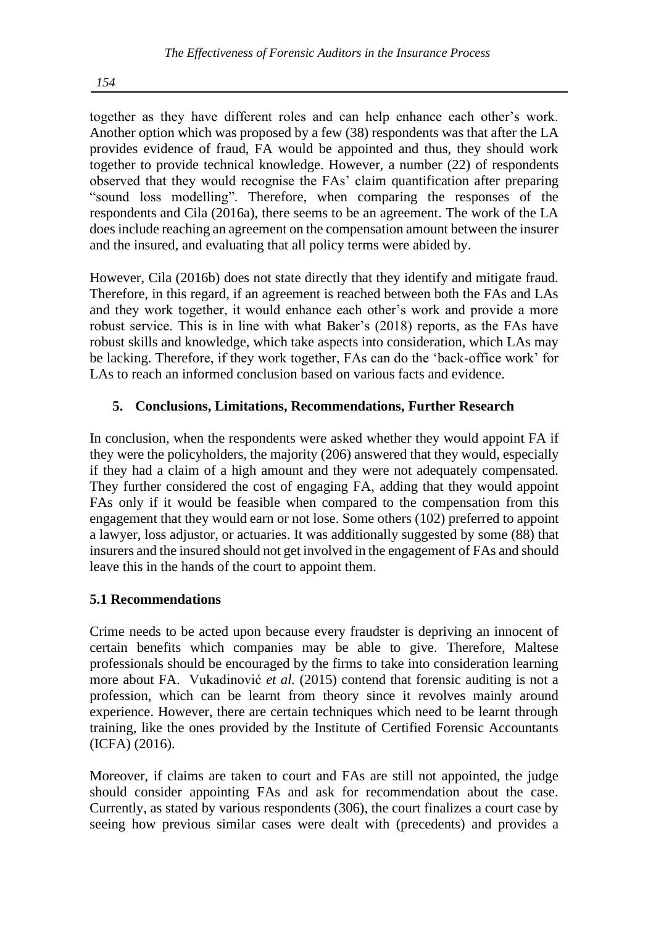together as they have different roles and can help enhance each other's work. Another option which was proposed by a few (38) respondents was that after the LA provides evidence of fraud, FA would be appointed and thus, they should work together to provide technical knowledge. However, a number (22) of respondents observed that they would recognise the FAs' claim quantification after preparing "sound loss modelling". Therefore, when comparing the responses of the respondents and Cila (2016a), there seems to be an agreement. The work of the LA does include reaching an agreement on the compensation amount between the insurer and the insured, and evaluating that all policy terms were abided by.

However, Cila (2016b) does not state directly that they identify and mitigate fraud. Therefore, in this regard, if an agreement is reached between both the FAs and LAs and they work together, it would enhance each other's work and provide a more robust service. This is in line with what Baker's (2018) reports, as the FAs have robust skills and knowledge, which take aspects into consideration, which LAs may be lacking. Therefore, if they work together, FAs can do the 'back-office work' for LAs to reach an informed conclusion based on various facts and evidence.

## **5. Conclusions, Limitations, Recommendations, Further Research**

In conclusion, when the respondents were asked whether they would appoint FA if they were the policyholders, the majority (206) answered that they would, especially if they had a claim of a high amount and they were not adequately compensated. They further considered the cost of engaging FA, adding that they would appoint FAs only if it would be feasible when compared to the compensation from this engagement that they would earn or not lose. Some others (102) preferred to appoint a lawyer, loss adjustor, or actuaries. It was additionally suggested by some (88) that insurers and the insured should not get involved in the engagement of FAs and should leave this in the hands of the court to appoint them.

## **5.1 Recommendations**

Crime needs to be acted upon because every fraudster is depriving an innocent of certain benefits which companies may be able to give. Therefore, Maltese professionals should be encouraged by the firms to take into consideration learning more about FA. Vukadinović *et al.* (2015) contend that forensic auditing is not a profession, which can be learnt from theory since it revolves mainly around experience. However, there are certain techniques which need to be learnt through training, like the ones provided by the Institute of Certified Forensic Accountants (ICFA) (2016).

Moreover, if claims are taken to court and FAs are still not appointed, the judge should consider appointing FAs and ask for recommendation about the case. Currently, as stated by various respondents (306), the court finalizes a court case by seeing how previous similar cases were dealt with (precedents) and provides a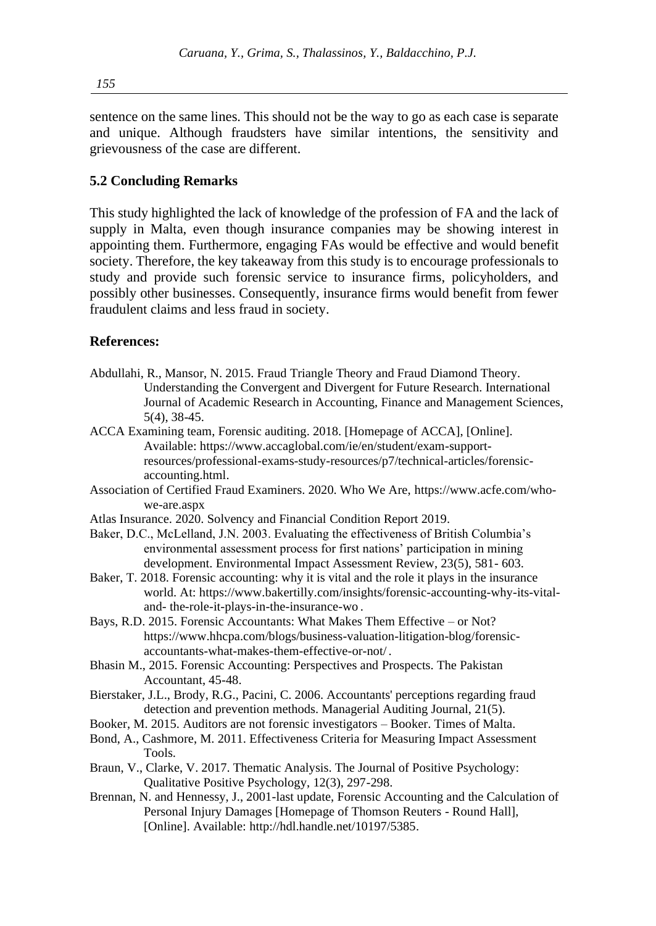sentence on the same lines. This should not be the way to go as each case is separate and unique. Although fraudsters have similar intentions, the sensitivity and grievousness of the case are different.

### **5.2 Concluding Remarks**

This study highlighted the lack of knowledge of the profession of FA and the lack of supply in Malta, even though insurance companies may be showing interest in appointing them. Furthermore, engaging FAs would be effective and would benefit society. Therefore, the key takeaway from this study is to encourage professionals to study and provide such forensic service to insurance firms, policyholders, and possibly other businesses. Consequently, insurance firms would benefit from fewer fraudulent claims and less fraud in society.

#### **References:**

- Abdullahi, R., Mansor, N. 2015. Fraud Triangle Theory and Fraud Diamond Theory. Understanding the Convergent and Divergent for Future Research. International Journal of Academic Research in Accounting, Finance and Management Sciences, 5(4), 38-45.
- ACCA Examining team, Forensic auditing. 2018. [Homepage of ACCA], [Online]. Available: [https://www.accaglobal.com/ie/en/student/exam-support](https://www.accaglobal.com/ie/en/student/exam-support-resources/professional-exams-study-resources/p7/technical-articles/forensic-accounting.html)[resources/professional-exams-study-resources/p7/technical-articles/forensic](https://www.accaglobal.com/ie/en/student/exam-support-resources/professional-exams-study-resources/p7/technical-articles/forensic-accounting.html)[accounting.html.](https://www.accaglobal.com/ie/en/student/exam-support-resources/professional-exams-study-resources/p7/technical-articles/forensic-accounting.html)
- Association of Certified Fraud Examiners. 2020. Who We Are, [https://www.acfe.com/who](https://www.acfe.com/who-we-are.aspx)[we-are.aspx](https://www.acfe.com/who-we-are.aspx)
- Atlas Insurance. 2020. Solvency and Financial Condition Report 2019.
- Baker, D.C., McLelland, J.N. 2003. Evaluating the effectiveness of British Columbia's environmental assessment process for first nations' participation in mining development. Environmental Impact Assessment Review, 23(5), 581- 603.
- Baker, T. 2018. Forensic accounting: why it is vital and the role it plays in the insurance world. At: [https://www.bakertilly.com/insights/forensic-accounting-why-its-vital](https://www.bakertilly.com/insights/forensic-accounting-why-its-vital-and-the-role-it-plays-in-the-insurance-wo)[and-](https://www.bakertilly.com/insights/forensic-accounting-why-its-vital-and-the-role-it-plays-in-the-insurance-wo) [the-role-it-plays-in-the-insurance-wo](https://www.bakertilly.com/insights/forensic-accounting-why-its-vital-and-the-role-it-plays-in-the-insurance-wo) .
- Bays, R.D. 2015. Forensic Accountants: What Makes Them Effective or Not? [https://www.hhcpa.com/blogs/business-valuation-litigation-blog/forensic](https://www.hhcpa.com/blogs/business-valuation-litigation-blog/forensic-accountants-what-makes-them-effective-or-not/)[accountants-what-makes-them-effective-or-not/](https://www.hhcpa.com/blogs/business-valuation-litigation-blog/forensic-accountants-what-makes-them-effective-or-not/) .
- Bhasin M., 2015. Forensic Accounting: Perspectives and Prospects. The Pakistan Accountant, 45-48.
- Bierstaker, J.L., Brody, R.G., Pacini, C. 2006. Accountants' perceptions regarding fraud detection and prevention methods. Managerial Auditing Journal, 21(5).
- Booker, M. 2015. Auditors are not forensic investigators Booker. Times of Malta.
- Bond, A., Cashmore, M. 2011. Effectiveness Criteria for Measuring Impact Assessment Tools.
- Braun, V., Clarke, V. 2017. Thematic Analysis. The Journal of Positive Psychology: Qualitative Positive Psychology, 12(3), 297-298.
- Brennan, N. and Hennessy, J., 2001-last update, Forensic Accounting and the Calculation of Personal Injury Damages [Homepage of Thomson Reuters - Round Hall], [Online]. Available: [http://hdl.handle.net/10197/5385.](http://hdl.handle.net/10197/5385)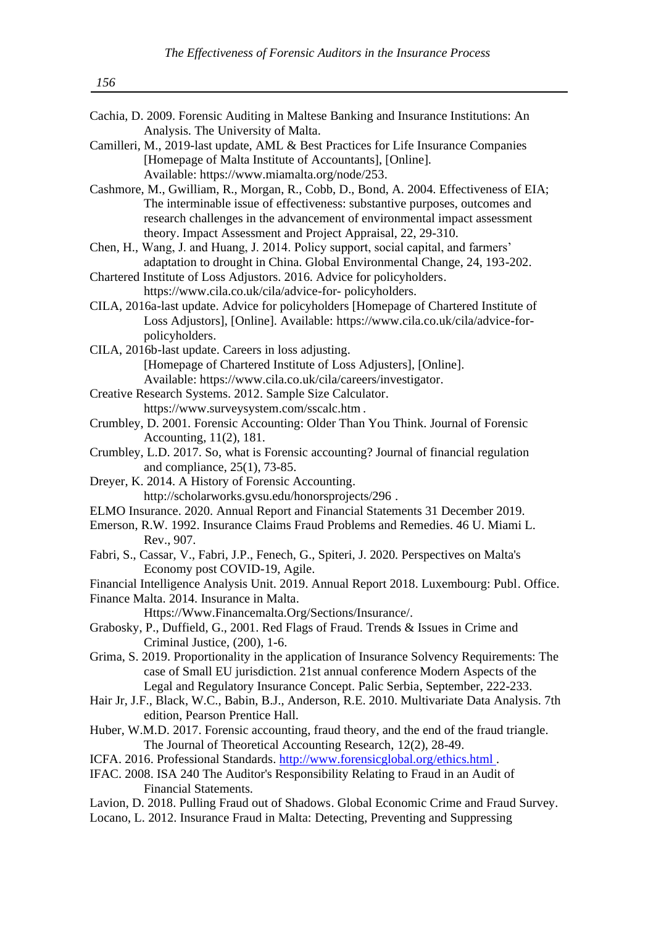| Cachia, D. 2009. Forensic Auditing in Maltese Banking and Insurance Institutions: An          |
|-----------------------------------------------------------------------------------------------|
| Analysis. The University of Malta.                                                            |
| Camilleri, M., 2019-last update, AML & Best Practices for Life Insurance Companies            |
| [Homepage of Malta Institute of Accountants], [Online].                                       |
| Available: https://www.miamalta.org/node/253.                                                 |
| Cashmore, M., Gwilliam, R., Morgan, R., Cobb, D., Bond, A. 2004. Effectiveness of EIA;        |
| The interminable issue of effectiveness: substantive purposes, outcomes and                   |
| research challenges in the advancement of environmental impact assessment                     |
| theory. Impact Assessment and Project Appraisal, 22, 29-310.                                  |
| Chen, H., Wang, J. and Huang, J. 2014. Policy support, social capital, and farmers'           |
| adaptation to drought in China. Global Environmental Change, 24, 193-202.                     |
| Chartered Institute of Loss Adjustors. 2016. Advice for policyholders.                        |
| https://www.cila.co.uk/cila/advice-for-policyholders.                                         |
| CILA, 2016a-last update. Advice for policyholders [Homepage of Chartered Institute of         |
| Loss Adjustors], [Online]. Available: https://www.cila.co.uk/cila/advice-for-                 |
| policyholders.                                                                                |
| CILA, 2016b-last update. Careers in loss adjusting.                                           |
| [Homepage of Chartered Institute of Loss Adjusters], [Online].                                |
| Available: https://www.cila.co.uk/cila/careers/investigator.                                  |
| Creative Research Systems. 2012. Sample Size Calculator.                                      |
| https://www.surveysystem.com/sscalc.htm.                                                      |
| Crumbley, D. 2001. Forensic Accounting: Older Than You Think. Journal of Forensic             |
| Accounting, 11(2), 181.                                                                       |
| Crumbley, L.D. 2017. So, what is Forensic accounting? Journal of financial regulation         |
| and compliance, 25(1), 73-85.                                                                 |
| Dreyer, K. 2014. A History of Forensic Accounting.                                            |
| http://scholarworks.gvsu.edu/honorsprojects/296.                                              |
| ELMO Insurance. 2020. Annual Report and Financial Statements 31 December 2019.                |
| Emerson, R.W. 1992. Insurance Claims Fraud Problems and Remedies. 46 U. Miami L.              |
| Rev., 907.                                                                                    |
| Fabri, S., Cassar, V., Fabri, J.P., Fenech, G., Spiteri, J. 2020. Perspectives on Malta's     |
| Economy post COVID-19, Agile.                                                                 |
| Financial Intelligence Analysis Unit. 2019. Annual Report 2018. Luxembourg: Publ. Office.     |
| Finance Malta. 2014. Insurance in Malta.                                                      |
| Https://Www.Financemalta.Org/Sections/Insurance/.                                             |
| Grabosky, P., Duffield, G., 2001. Red Flags of Fraud. Trends & Issues in Crime and            |
| Criminal Justice, (200), 1-6.                                                                 |
| Grima, S. 2019. Proportionality in the application of Insurance Solvency Requirements: The    |
| case of Small EU jurisdiction. 21st annual conference Modern Aspects of the                   |
| Legal and Regulatory Insurance Concept. Palic Serbia, September, 222-233.                     |
| Hair Jr, J.F., Black, W.C., Babin, B.J., Anderson, R.E. 2010. Multivariate Data Analysis. 7th |
| edition, Pearson Prentice Hall.                                                               |

- Huber, W.M.D. 2017. Forensic accounting, fraud theory, and the end of the fraud triangle. The Journal of Theoretical Accounting Research, 12(2), 28-49.
- ICFA. 2016. Professional Standards. [http://www.forensicglobal.org/ethics.html .](http://www.forensicglobal.org/ethics.html)
- IFAC. 2008. ISA 240 The Auditor's Responsibility Relating to Fraud in an Audit of Financial Statements.
- Lavion, D. 2018. Pulling Fraud out of Shadows. Global Economic Crime and Fraud Survey.
- Locano, L. 2012. Insurance Fraud in Malta: Detecting, Preventing and Suppressing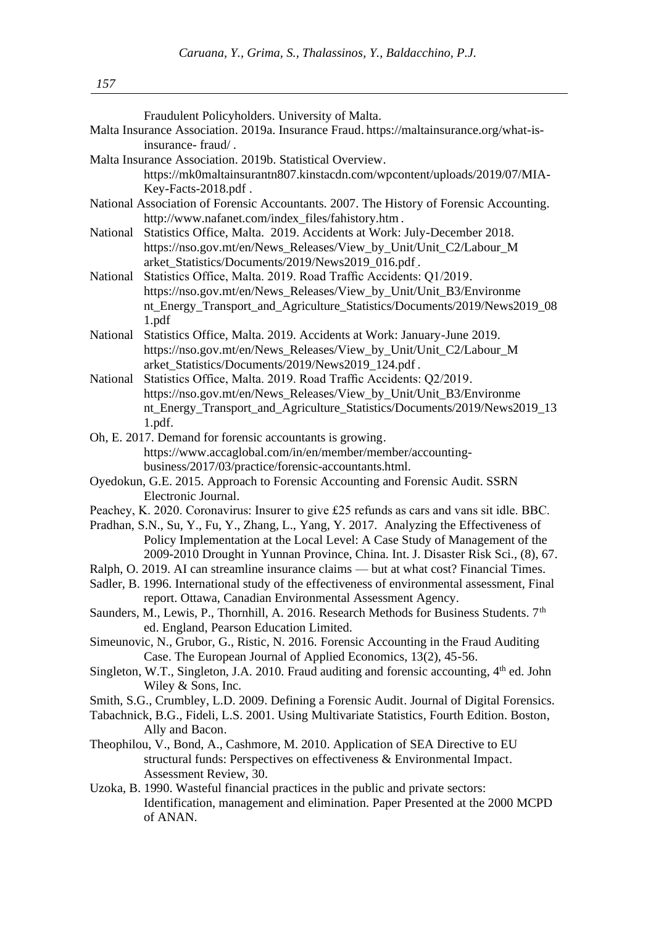| Fraudulent Policyholders. University of Malta. |  |  |  |
|------------------------------------------------|--|--|--|

|                                                                                            | Malta Insurance Association. 2019a. Insurance Fraud. https://maltainsurance.org/what-is-                |  |  |  |  |
|--------------------------------------------------------------------------------------------|---------------------------------------------------------------------------------------------------------|--|--|--|--|
|                                                                                            | insurance-fraud/.                                                                                       |  |  |  |  |
|                                                                                            | Malta Insurance Association. 2019b. Statistical Overview.                                               |  |  |  |  |
|                                                                                            | https://mk0maltainsurantn807.kinstacdn.com/wpcontent/uploads/2019/07/MIA-                               |  |  |  |  |
|                                                                                            | Key-Facts-2018.pdf.                                                                                     |  |  |  |  |
|                                                                                            | National Association of Forensic Accountants. 2007. The History of Forensic Accounting.                 |  |  |  |  |
|                                                                                            | http://www.nafanet.com/index_files/fahistory.htm.                                                       |  |  |  |  |
| National                                                                                   | Statistics Office, Malta. 2019. Accidents at Work: July-December 2018.                                  |  |  |  |  |
|                                                                                            | https://nso.gov.mt/en/News_Releases/View_by_Unit/Unit_C2/Labour_M                                       |  |  |  |  |
|                                                                                            | arket Statistics/Documents/2019/News2019 016.pdf.                                                       |  |  |  |  |
| National                                                                                   | Statistics Office, Malta. 2019. Road Traffic Accidents: Q1/2019.                                        |  |  |  |  |
|                                                                                            | https://nso.gov.mt/en/News_Releases/View_by_Unit/Unit_B3/Environme                                      |  |  |  |  |
|                                                                                            | nt_Energy_Transport_and_Agriculture_Statistics/Documents/2019/News2019_08                               |  |  |  |  |
|                                                                                            | 1.pdf                                                                                                   |  |  |  |  |
| National                                                                                   | Statistics Office, Malta. 2019. Accidents at Work: January-June 2019.                                   |  |  |  |  |
|                                                                                            | https://nso.gov.mt/en/News_Releases/View_by_Unit/Unit_C2/Labour_M                                       |  |  |  |  |
|                                                                                            | arket_Statistics/Documents/2019/News2019_124.pdf.                                                       |  |  |  |  |
| National                                                                                   | Statistics Office, Malta. 2019. Road Traffic Accidents: Q2/2019.                                        |  |  |  |  |
|                                                                                            | https://nso.gov.mt/en/News_Releases/View_by_Unit/Unit_B3/Environme                                      |  |  |  |  |
|                                                                                            | nt_Energy_Transport_and_Agriculture_Statistics/Documents/2019/News2019_13                               |  |  |  |  |
|                                                                                            |                                                                                                         |  |  |  |  |
|                                                                                            | 1.pdf.                                                                                                  |  |  |  |  |
|                                                                                            | Oh, E. 2017. Demand for forensic accountants is growing.                                                |  |  |  |  |
|                                                                                            | https://www.accaglobal.com/in/en/member/member/accounting-                                              |  |  |  |  |
|                                                                                            | business/2017/03/practice/forensic-accountants.html.                                                    |  |  |  |  |
|                                                                                            | Oyedokun, G.E. 2015. Approach to Forensic Accounting and Forensic Audit. SSRN                           |  |  |  |  |
|                                                                                            | Electronic Journal.                                                                                     |  |  |  |  |
| Peachey, K. 2020. Coronavirus: Insurer to give £25 refunds as cars and vans sit idle. BBC. |                                                                                                         |  |  |  |  |
|                                                                                            | Pradhan, S.N., Su, Y., Fu, Y., Zhang, L., Yang, Y. 2017. Analyzing the Effectiveness of                 |  |  |  |  |
|                                                                                            | Policy Implementation at the Local Level: A Case Study of Management of the                             |  |  |  |  |
|                                                                                            | 2009-2010 Drought in Yunnan Province, China. Int. J. Disaster Risk Sci., (8), 67.                       |  |  |  |  |
| Ralph, O. 2019. AI can streamline insurance claims — but at what cost? Financial Times.    |                                                                                                         |  |  |  |  |
|                                                                                            | Sadler, B. 1996. International study of the effectiveness of environmental assessment, Final            |  |  |  |  |
|                                                                                            | report. Ottawa, Canadian Environmental Assessment Agency.                                               |  |  |  |  |
|                                                                                            | Saunders, M., Lewis, P., Thornhill, A. 2016. Research Methods for Business Students. 7 <sup>th</sup>    |  |  |  |  |
|                                                                                            | ed. England, Pearson Education Limited.                                                                 |  |  |  |  |
|                                                                                            | Simeunovic, N., Grubor, G., Ristic, N. 2016. Forensic Accounting in the Fraud Auditing                  |  |  |  |  |
|                                                                                            | Case. The European Journal of Applied Economics, 13(2), 45-56.                                          |  |  |  |  |
|                                                                                            | Singleton, W.T., Singleton, J.A. 2010. Fraud auditing and forensic accounting, 4 <sup>th</sup> ed. John |  |  |  |  |
|                                                                                            | Wiley & Sons, Inc.                                                                                      |  |  |  |  |
|                                                                                            | Smith, S.G., Crumbley, L.D. 2009. Defining a Forensic Audit. Journal of Digital Forensics.              |  |  |  |  |
|                                                                                            | Tabachnick, B.G., Fideli, L.S. 2001. Using Multivariate Statistics, Fourth Edition. Boston,             |  |  |  |  |
|                                                                                            | Ally and Bacon.                                                                                         |  |  |  |  |
|                                                                                            | Theophilou, V., Bond, A., Cashmore, M. 2010. Application of SEA Directive to EU                         |  |  |  |  |
|                                                                                            | structural funds: Perspectives on effectiveness & Environmental Impact.                                 |  |  |  |  |
|                                                                                            | Assessment Review, 30.                                                                                  |  |  |  |  |
|                                                                                            | Uzoka, B. 1990. Wasteful financial practices in the public and private sectors:                         |  |  |  |  |
|                                                                                            | Identification, management and elimination. Paper Presented at the 2000 MCPD                            |  |  |  |  |
|                                                                                            | of ANAN.                                                                                                |  |  |  |  |